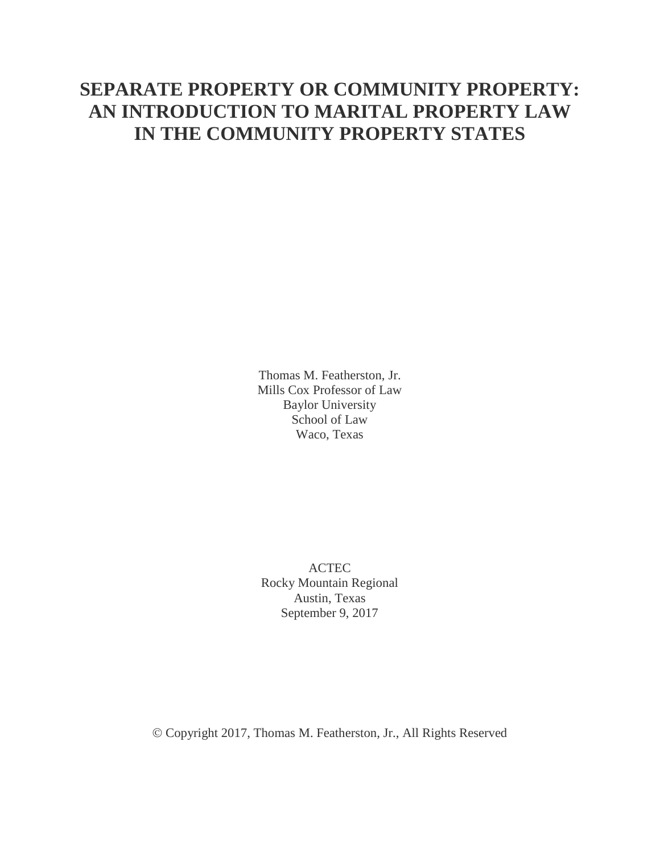## **SEPARATE PROPERTY OR COMMUNITY PROPERTY: AN INTRODUCTION TO MARITAL PROPERTY LAW IN THE COMMUNITY PROPERTY STATES**

Thomas M. Featherston, Jr. Mills Cox Professor of Law Baylor University School of Law Waco, Texas

ACTEC Rocky Mountain Regional Austin, Texas September 9, 2017

Copyright 2017, Thomas M. Featherston, Jr., All Rights Reserved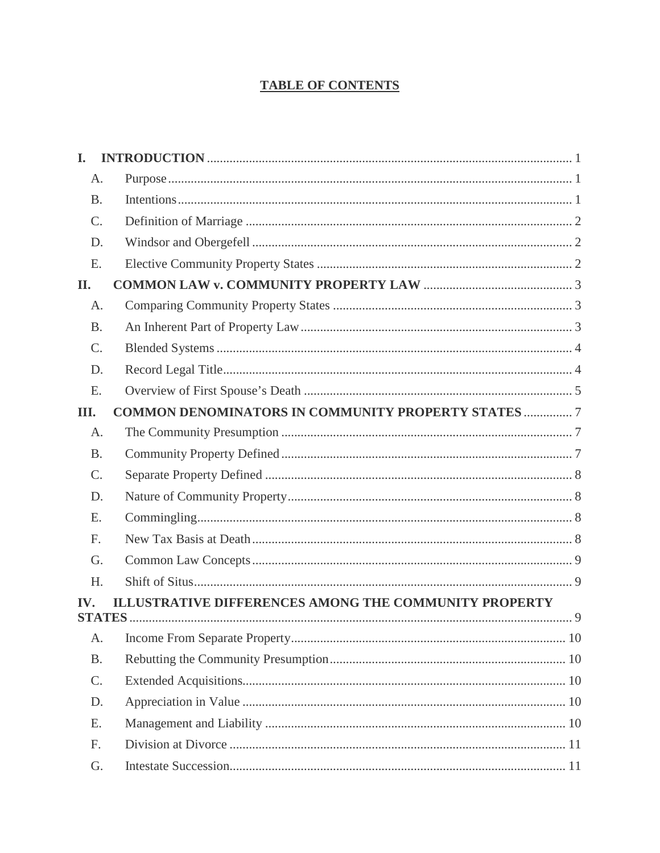### **TABLE OF CONTENTS**

| L.              |                                                              |    |
|-----------------|--------------------------------------------------------------|----|
| A.              |                                                              |    |
| <b>B.</b>       |                                                              |    |
| $\mathcal{C}$ . |                                                              |    |
| D.              |                                                              |    |
| E.              |                                                              |    |
| II.             |                                                              |    |
| A.              |                                                              |    |
| <b>B.</b>       |                                                              |    |
| C.              |                                                              |    |
| D.              |                                                              |    |
| E.              |                                                              |    |
| Ш.              | <b>COMMON DENOMINATORS IN COMMUNITY PROPERTY STATES  7</b>   |    |
| A.              |                                                              |    |
| <b>B.</b>       |                                                              |    |
| C.              |                                                              |    |
| D.              |                                                              |    |
| E.              |                                                              |    |
| F.              |                                                              |    |
| G.              |                                                              |    |
| H.              |                                                              |    |
| IV.             | <b>ILLUSTRATIVE DIFFERENCES AMONG THE COMMUNITY PROPERTY</b> |    |
|                 |                                                              |    |
| A.              |                                                              |    |
| <b>B.</b>       |                                                              |    |
| $\mathcal{C}$ . |                                                              |    |
| D.              |                                                              |    |
| Ε.              |                                                              |    |
| F.              |                                                              |    |
| G.              |                                                              | 11 |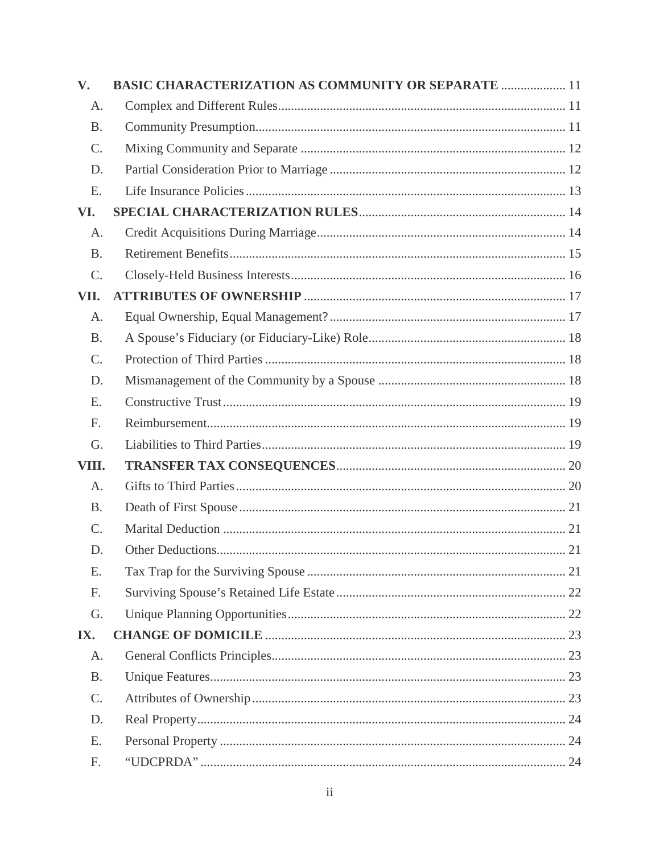| V.              | <b>BASIC CHARACTERIZATION AS COMMUNITY OR SEPARATE  11</b> |
|-----------------|------------------------------------------------------------|
| A.              |                                                            |
| <b>B.</b>       |                                                            |
| $\mathcal{C}$ . |                                                            |
| D.              |                                                            |
| E.              |                                                            |
| VI.             |                                                            |
| A.              |                                                            |
| <b>B.</b>       |                                                            |
| C.              |                                                            |
| VII.            |                                                            |
| A.              |                                                            |
| <b>B.</b>       |                                                            |
| C.              |                                                            |
| D.              |                                                            |
| E.              |                                                            |
| F.              |                                                            |
| G.              |                                                            |
| VIII.           |                                                            |
| A.              |                                                            |
| <b>B.</b>       |                                                            |
| C.              |                                                            |
| D.              |                                                            |
| Ε.              |                                                            |
| F.              |                                                            |
| G.              |                                                            |
| IX.             |                                                            |
| A.              |                                                            |
| <b>B.</b>       |                                                            |
| C.              |                                                            |
| D.              |                                                            |
| Ε.              |                                                            |
| F.              |                                                            |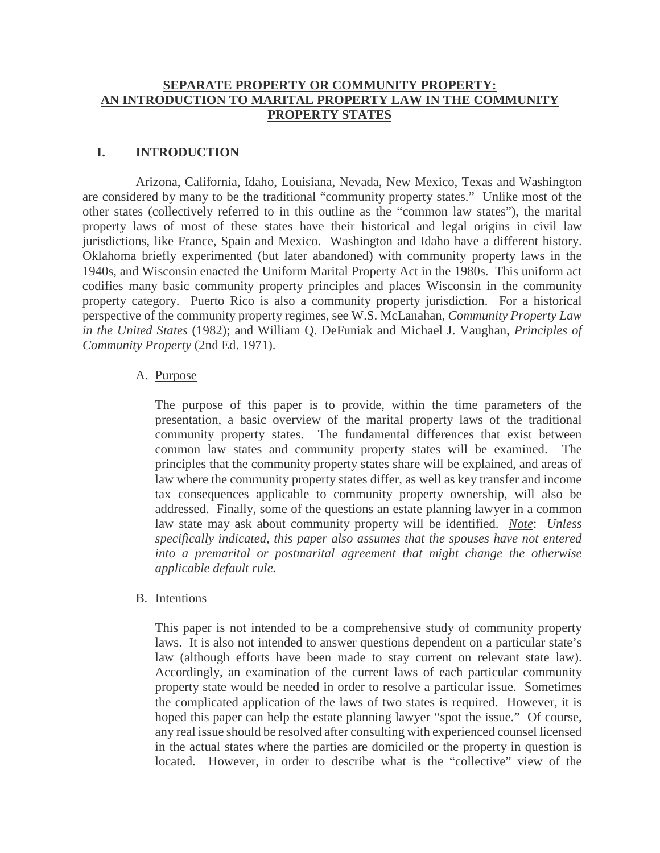#### **SEPARATE PROPERTY OR COMMUNITY PROPERTY: AN INTRODUCTION TO MARITAL PROPERTY LAW IN THE COMMUNITY PROPERTY STATES**

#### <span id="page-4-0"></span>**I. INTRODUCTION**

Arizona, California, Idaho, Louisiana, Nevada, New Mexico, Texas and Washington are considered by many to be the traditional "community property states." Unlike most of the other states (collectively referred to in this outline as the "common law states"), the marital property laws of most of these states have their historical and legal origins in civil law jurisdictions, like France, Spain and Mexico. Washington and Idaho have a different history. Oklahoma briefly experimented (but later abandoned) with community property laws in the 1940s, and Wisconsin enacted the Uniform Marital Property Act in the 1980s. This uniform act codifies many basic community property principles and places Wisconsin in the community property category. Puerto Rico is also a community property jurisdiction. For a historical perspective of the community property regimes, see W.S. McLanahan, *Community Property Law in the United States* (1982); and William Q. DeFuniak and Michael J. Vaughan, *Principles of Community Property* (2nd Ed. 1971).

#### <span id="page-4-1"></span>A. Purpose

The purpose of this paper is to provide, within the time parameters of the presentation, a basic overview of the marital property laws of the traditional community property states. The fundamental differences that exist between common law states and community property states will be examined. The principles that the community property states share will be explained, and areas of law where the community property states differ, as well as key transfer and income tax consequences applicable to community property ownership, will also be addressed. Finally, some of the questions an estate planning lawyer in a common law state may ask about community property will be identified. *Note*: *Unless specifically indicated, this paper also assumes that the spouses have not entered into a premarital or postmarital agreement that might change the otherwise applicable default rule.*

#### <span id="page-4-2"></span>B. Intentions

This paper is not intended to be a comprehensive study of community property laws. It is also not intended to answer questions dependent on a particular state's law (although efforts have been made to stay current on relevant state law). Accordingly, an examination of the current laws of each particular community property state would be needed in order to resolve a particular issue. Sometimes the complicated application of the laws of two states is required. However, it is hoped this paper can help the estate planning lawyer "spot the issue." Of course, any real issue should be resolved after consulting with experienced counsel licensed in the actual states where the parties are domiciled or the property in question is located. However, in order to describe what is the "collective" view of the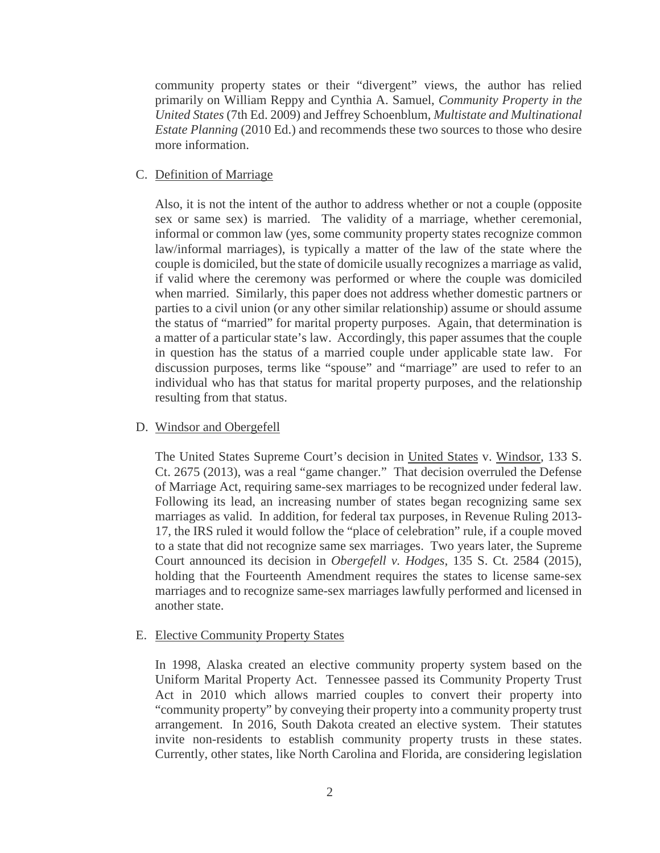community property states or their "divergent" views, the author has relied primarily on William Reppy and Cynthia A. Samuel, *Community Property in the United States* (7th Ed. 2009) and Jeffrey Schoenblum, *Multistate and Multinational Estate Planning* (2010 Ed.) and recommends these two sources to those who desire more information.

#### <span id="page-5-0"></span>C. Definition of Marriage

Also, it is not the intent of the author to address whether or not a couple (opposite sex or same sex) is married. The validity of a marriage, whether ceremonial, informal or common law (yes, some community property states recognize common law/informal marriages), is typically a matter of the law of the state where the couple is domiciled, but the state of domicile usually recognizes a marriage as valid, if valid where the ceremony was performed or where the couple was domiciled when married. Similarly, this paper does not address whether domestic partners or parties to a civil union (or any other similar relationship) assume or should assume the status of "married" for marital property purposes. Again, that determination is a matter of a particular state's law. Accordingly, this paper assumes that the couple in question has the status of a married couple under applicable state law. For discussion purposes, terms like "spouse" and "marriage" are used to refer to an individual who has that status for marital property purposes, and the relationship resulting from that status.

#### <span id="page-5-1"></span>D. Windsor and Obergefell

The United States Supreme Court's decision in United States v. Windsor, 133 S. Ct. 2675 (2013), was a real "game changer." That decision overruled the Defense of Marriage Act, requiring same-sex marriages to be recognized under federal law. Following its lead, an increasing number of states began recognizing same sex marriages as valid. In addition, for federal tax purposes, in Revenue Ruling 2013- 17, the IRS ruled it would follow the "place of celebration" rule, if a couple moved to a state that did not recognize same sex marriages. Two years later, the Supreme Court announced its decision in *Obergefell v. Hodges*, 135 S. Ct. 2584 (2015), holding that the Fourteenth Amendment requires the states to license same-sex marriages and to recognize same-sex marriages lawfully performed and licensed in another state.

#### <span id="page-5-2"></span>E. Elective Community Property States

In 1998, Alaska created an elective community property system based on the Uniform Marital Property Act. Tennessee passed its Community Property Trust Act in 2010 which allows married couples to convert their property into "community property" by conveying their property into a community property trust arrangement. In 2016, South Dakota created an elective system. Their statutes invite non-residents to establish community property trusts in these states. Currently, other states, like North Carolina and Florida, are considering legislation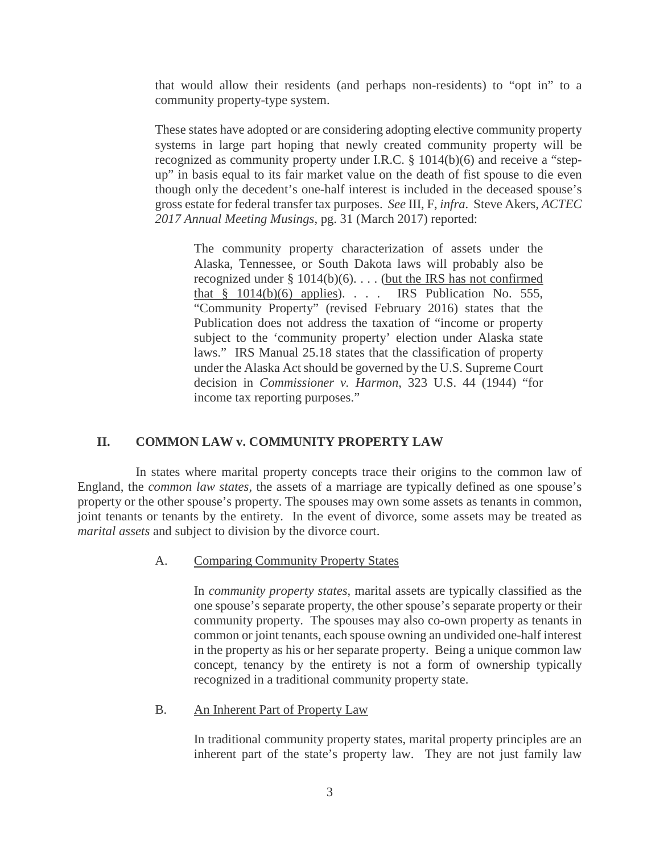that would allow their residents (and perhaps non-residents) to "opt in" to a community property-type system.

These states have adopted or are considering adopting elective community property systems in large part hoping that newly created community property will be recognized as community property under I.R.C. § 1014(b)(6) and receive a "stepup" in basis equal to its fair market value on the death of fist spouse to die even though only the decedent's one-half interest is included in the deceased spouse's gross estate for federal transfer tax purposes. *See* III, F, *infra*. Steve Akers, *ACTEC 2017 Annual Meeting Musings*, pg. 31 (March 2017) reported:

The community property characterization of assets under the Alaska, Tennessee, or South Dakota laws will probably also be recognized under  $\S 1014(b)(6)$ .... (but the IRS has not confirmed that  $§$  1014(b)(6) applies). . . . IRS Publication No. 555, "Community Property" (revised February 2016) states that the Publication does not address the taxation of "income or property subject to the 'community property' election under Alaska state laws." IRS Manual 25.18 states that the classification of property under the Alaska Act should be governed by the U.S. Supreme Court decision in *Commissioner v. Harmon*, 323 U.S. 44 (1944) "for income tax reporting purposes."

#### <span id="page-6-0"></span>**II. COMMON LAW v. COMMUNITY PROPERTY LAW**

In states where marital property concepts trace their origins to the common law of England, the *common law states,* the assets of a marriage are typically defined as one spouse's property or the other spouse's property. The spouses may own some assets as tenants in common, joint tenants or tenants by the entirety. In the event of divorce, some assets may be treated as *marital assets* and subject to division by the divorce court.

#### <span id="page-6-1"></span>A. Comparing Community Property States

In *community property states*, marital assets are typically classified as the one spouse's separate property, the other spouse's separate property or their community property. The spouses may also co-own property as tenants in common or joint tenants, each spouse owning an undivided one-half interest in the property as his or her separate property. Being a unique common law concept, tenancy by the entirety is not a form of ownership typically recognized in a traditional community property state.

#### <span id="page-6-2"></span>B. An Inherent Part of Property Law

In traditional community property states, marital property principles are an inherent part of the state's property law. They are not just family law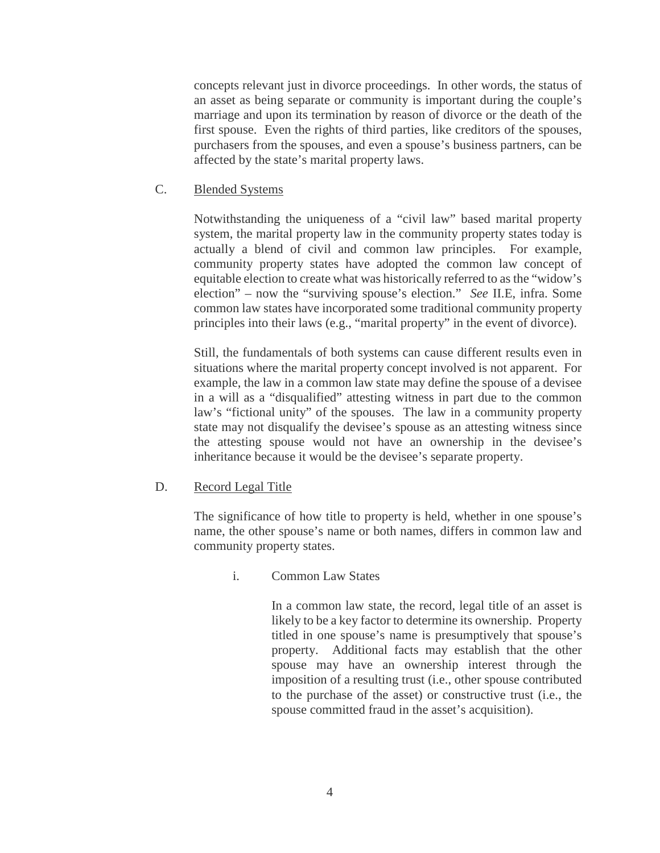concepts relevant just in divorce proceedings. In other words, the status of an asset as being separate or community is important during the couple's marriage and upon its termination by reason of divorce or the death of the first spouse. Even the rights of third parties, like creditors of the spouses, purchasers from the spouses, and even a spouse's business partners, can be affected by the state's marital property laws.

<span id="page-7-0"></span>C. Blended Systems

Notwithstanding the uniqueness of a "civil law" based marital property system, the marital property law in the community property states today is actually a blend of civil and common law principles. For example, community property states have adopted the common law concept of equitable election to create what was historically referred to as the "widow's election" – now the "surviving spouse's election." *See* II.E, infra. Some common law states have incorporated some traditional community property principles into their laws (e.g., "marital property" in the event of divorce).

Still, the fundamentals of both systems can cause different results even in situations where the marital property concept involved is not apparent. For example, the law in a common law state may define the spouse of a devisee in a will as a "disqualified" attesting witness in part due to the common law's "fictional unity" of the spouses. The law in a community property state may not disqualify the devisee's spouse as an attesting witness since the attesting spouse would not have an ownership in the devisee's inheritance because it would be the devisee's separate property.

#### <span id="page-7-1"></span>D. Record Legal Title

The significance of how title to property is held, whether in one spouse's name, the other spouse's name or both names, differs in common law and community property states.

i. Common Law States

In a common law state, the record, legal title of an asset is likely to be a key factor to determine its ownership. Property titled in one spouse's name is presumptively that spouse's property. Additional facts may establish that the other spouse may have an ownership interest through the imposition of a resulting trust (i.e., other spouse contributed to the purchase of the asset) or constructive trust (i.e., the spouse committed fraud in the asset's acquisition).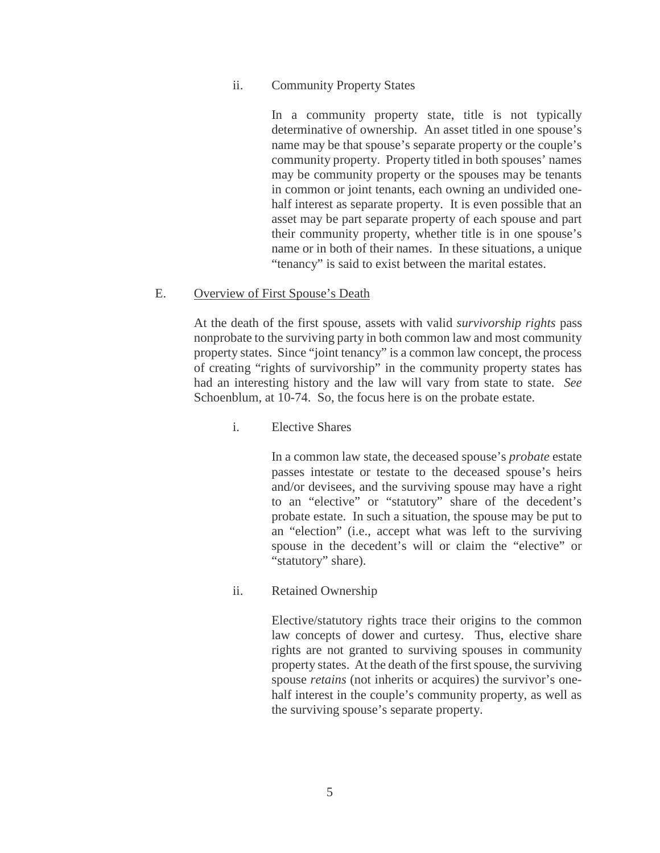#### ii. Community Property States

In a community property state, title is not typically determinative of ownership. An asset titled in one spouse's name may be that spouse's separate property or the couple's community property. Property titled in both spouses' names may be community property or the spouses may be tenants in common or joint tenants, each owning an undivided onehalf interest as separate property. It is even possible that an asset may be part separate property of each spouse and part their community property, whether title is in one spouse's name or in both of their names. In these situations, a unique "tenancy" is said to exist between the marital estates.

#### <span id="page-8-0"></span>E. Overview of First Spouse's Death

At the death of the first spouse, assets with valid *survivorship rights* pass nonprobate to the surviving party in both common law and most community property states. Since "joint tenancy" is a common law concept, the process of creating "rights of survivorship" in the community property states has had an interesting history and the law will vary from state to state. *See* Schoenblum, at 10-74. So, the focus here is on the probate estate.

#### i. Elective Shares

In a common law state, the deceased spouse's *probate* estate passes intestate or testate to the deceased spouse's heirs and/or devisees, and the surviving spouse may have a right to an "elective" or "statutory" share of the decedent's probate estate. In such a situation, the spouse may be put to an "election" (i.e., accept what was left to the surviving spouse in the decedent's will or claim the "elective" or "statutory" share).

#### ii. Retained Ownership

Elective/statutory rights trace their origins to the common law concepts of dower and curtesy. Thus, elective share rights are not granted to surviving spouses in community property states. At the death of the first spouse, the surviving spouse *retains* (not inherits or acquires) the survivor's onehalf interest in the couple's community property, as well as the surviving spouse's separate property.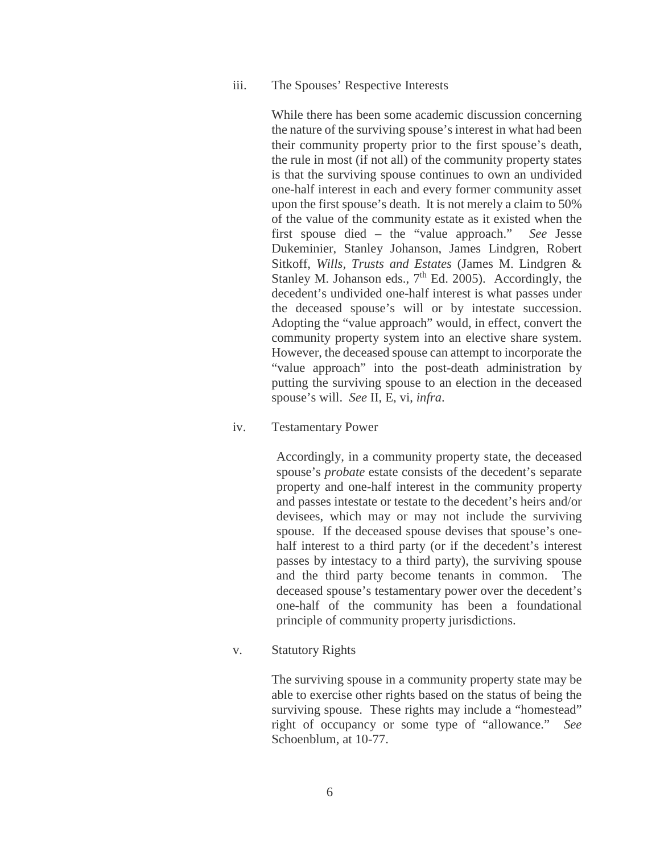iii. The Spouses' Respective Interests

While there has been some academic discussion concerning the nature of the surviving spouse's interest in what had been their community property prior to the first spouse's death, the rule in most (if not all) of the community property states is that the surviving spouse continues to own an undivided one-half interest in each and every former community asset upon the first spouse's death. It is not merely a claim to 50% of the value of the community estate as it existed when the first spouse died – the "value approach." *See* Jesse Dukeminier, Stanley Johanson, James Lindgren, Robert Sitkoff, *Wills, Trusts and Estates* (James M. Lindgren & Stanley M. Johanson eds.,  $7<sup>th</sup>$  Ed. 2005). Accordingly, the decedent's undivided one-half interest is what passes under the deceased spouse's will or by intestate succession. Adopting the "value approach" would, in effect, convert the community property system into an elective share system. However, the deceased spouse can attempt to incorporate the "value approach" into the post-death administration by putting the surviving spouse to an election in the deceased spouse's will. *See* II, E, vi, *infra*.

iv. Testamentary Power

Accordingly, in a community property state, the deceased spouse's *probate* estate consists of the decedent's separate property and one-half interest in the community property and passes intestate or testate to the decedent's heirs and/or devisees, which may or may not include the surviving spouse. If the deceased spouse devises that spouse's onehalf interest to a third party (or if the decedent's interest passes by intestacy to a third party), the surviving spouse and the third party become tenants in common. The deceased spouse's testamentary power over the decedent's one-half of the community has been a foundational principle of community property jurisdictions.

v. Statutory Rights

The surviving spouse in a community property state may be able to exercise other rights based on the status of being the surviving spouse. These rights may include a "homestead" right of occupancy or some type of "allowance." *See* Schoenblum, at 10-77.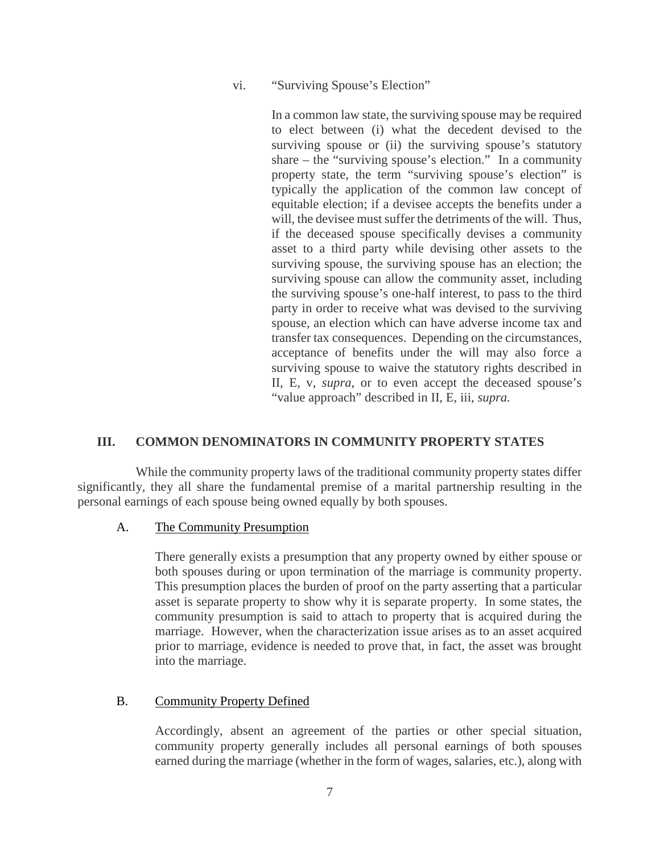vi. "Surviving Spouse's Election"

In a common law state, the surviving spouse may be required to elect between (i) what the decedent devised to the surviving spouse or (ii) the surviving spouse's statutory share – the "surviving spouse's election." In a community property state, the term "surviving spouse's election" is typically the application of the common law concept of equitable election; if a devisee accepts the benefits under a will, the devisee must suffer the detriments of the will. Thus, if the deceased spouse specifically devises a community asset to a third party while devising other assets to the surviving spouse, the surviving spouse has an election; the surviving spouse can allow the community asset, including the surviving spouse's one-half interest, to pass to the third party in order to receive what was devised to the surviving spouse, an election which can have adverse income tax and transfer tax consequences. Depending on the circumstances, acceptance of benefits under the will may also force a surviving spouse to waive the statutory rights described in II, E, v, *supra*, or to even accept the deceased spouse's "value approach" described in II, E, iii, *supra.*

#### <span id="page-10-0"></span>**III. COMMON DENOMINATORS IN COMMUNITY PROPERTY STATES**

While the community property laws of the traditional community property states differ significantly, they all share the fundamental premise of a marital partnership resulting in the personal earnings of each spouse being owned equally by both spouses.

#### <span id="page-10-1"></span>A. The Community Presumption

There generally exists a presumption that any property owned by either spouse or both spouses during or upon termination of the marriage is community property. This presumption places the burden of proof on the party asserting that a particular asset is separate property to show why it is separate property. In some states, the community presumption is said to attach to property that is acquired during the marriage. However, when the characterization issue arises as to an asset acquired prior to marriage, evidence is needed to prove that, in fact, the asset was brought into the marriage.

#### <span id="page-10-2"></span>B. Community Property Defined

Accordingly, absent an agreement of the parties or other special situation, community property generally includes all personal earnings of both spouses earned during the marriage (whether in the form of wages, salaries, etc.), along with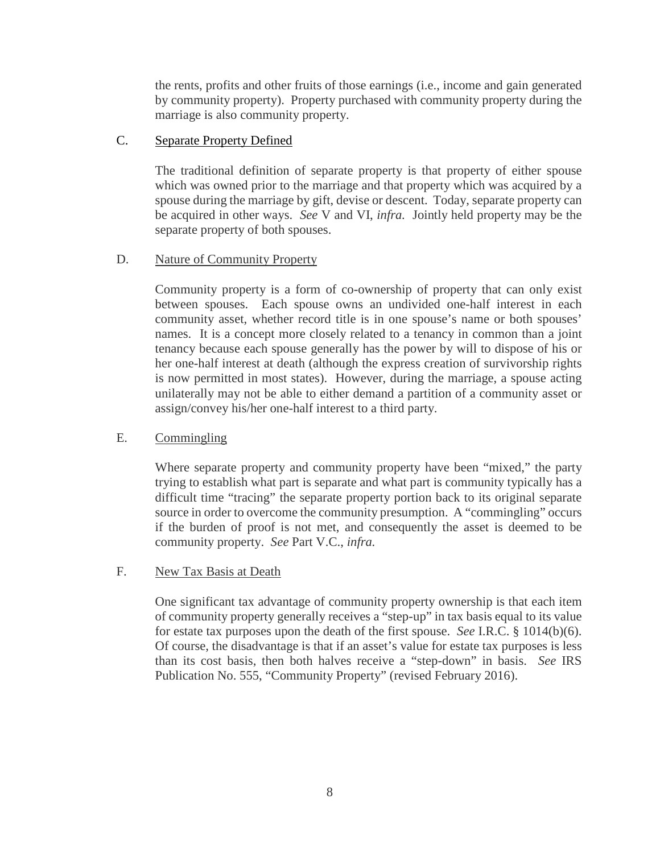the rents, profits and other fruits of those earnings (i.e., income and gain generated by community property). Property purchased with community property during the marriage is also community property.

#### <span id="page-11-0"></span>C. Separate Property Defined

The traditional definition of separate property is that property of either spouse which was owned prior to the marriage and that property which was acquired by a spouse during the marriage by gift, devise or descent. Today, separate property can be acquired in other ways. *See* V and VI, *infra.* Jointly held property may be the separate property of both spouses.

#### <span id="page-11-1"></span>D. Nature of Community Property

Community property is a form of co-ownership of property that can only exist between spouses. Each spouse owns an undivided one-half interest in each community asset, whether record title is in one spouse's name or both spouses' names. It is a concept more closely related to a tenancy in common than a joint tenancy because each spouse generally has the power by will to dispose of his or her one-half interest at death (although the express creation of survivorship rights is now permitted in most states). However, during the marriage, a spouse acting unilaterally may not be able to either demand a partition of a community asset or assign/convey his/her one-half interest to a third party.

#### <span id="page-11-2"></span>E. Commingling

Where separate property and community property have been "mixed," the party trying to establish what part is separate and what part is community typically has a difficult time "tracing" the separate property portion back to its original separate source in order to overcome the community presumption. A "commingling" occurs if the burden of proof is not met, and consequently the asset is deemed to be community property. *See* Part V.C., *infra.*

#### <span id="page-11-3"></span>F. New Tax Basis at Death

One significant tax advantage of community property ownership is that each item of community property generally receives a "step-up" in tax basis equal to its value for estate tax purposes upon the death of the first spouse. *See* I.R.C. § 1014(b)(6). Of course, the disadvantage is that if an asset's value for estate tax purposes is less than its cost basis, then both halves receive a "step-down" in basis. *See* IRS Publication No. 555, "Community Property" (revised February 2016).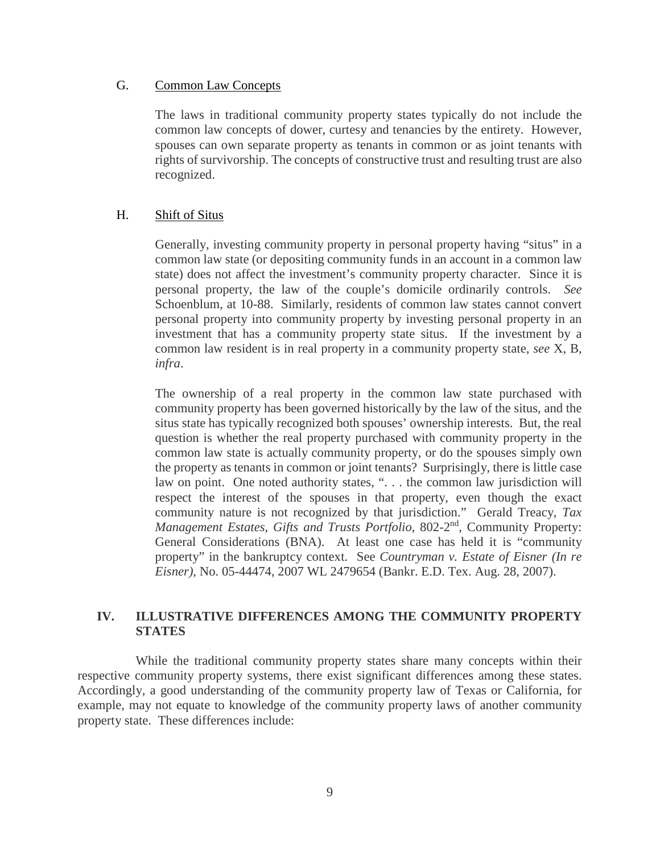#### <span id="page-12-0"></span>G. Common Law Concepts

The laws in traditional community property states typically do not include the common law concepts of dower, curtesy and tenancies by the entirety. However, spouses can own separate property as tenants in common or as joint tenants with rights of survivorship. The concepts of constructive trust and resulting trust are also recognized.

#### <span id="page-12-1"></span>H. Shift of Situs

Generally, investing community property in personal property having "situs" in a common law state (or depositing community funds in an account in a common law state) does not affect the investment's community property character. Since it is personal property, the law of the couple's domicile ordinarily controls. *See* Schoenblum, at 10-88. Similarly, residents of common law states cannot convert personal property into community property by investing personal property in an investment that has a community property state situs. If the investment by a common law resident is in real property in a community property state, *see* X, B, *infra*.

The ownership of a real property in the common law state purchased with community property has been governed historically by the law of the situs, and the situs state has typically recognized both spouses' ownership interests. But, the real question is whether the real property purchased with community property in the common law state is actually community property, or do the spouses simply own the property as tenants in common or joint tenants? Surprisingly, there is little case law on point. One noted authority states, ". . . the common law jurisdiction will respect the interest of the spouses in that property, even though the exact community nature is not recognized by that jurisdiction." Gerald Treacy, *Tax Management Estates, Gifts and Trusts Portfolio, 802-2<sup>nd</sup>, Community Property:* General Considerations (BNA). At least one case has held it is "community property" in the bankruptcy context. See *Countryman v. Estate of Eisner (In re Eisner)*, No. 05-44474, 2007 WL 2479654 (Bankr. E.D. Tex. Aug. 28, 2007).

#### <span id="page-12-2"></span>**IV. ILLUSTRATIVE DIFFERENCES AMONG THE COMMUNITY PROPERTY STATES**

While the traditional community property states share many concepts within their respective community property systems, there exist significant differences among these states. Accordingly, a good understanding of the community property law of Texas or California, for example, may not equate to knowledge of the community property laws of another community property state. These differences include: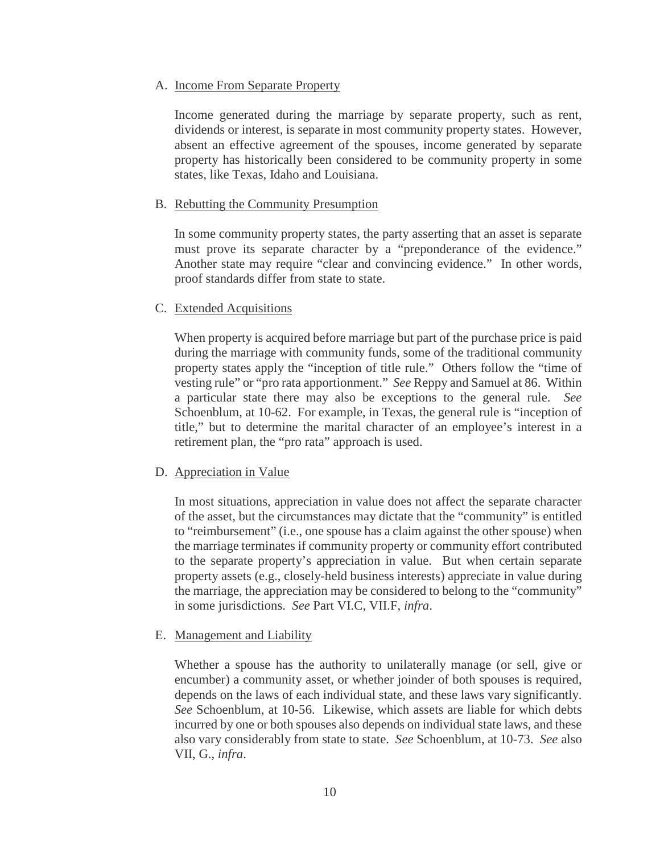#### <span id="page-13-0"></span>A. Income From Separate Property

Income generated during the marriage by separate property, such as rent, dividends or interest, is separate in most community property states. However, absent an effective agreement of the spouses, income generated by separate property has historically been considered to be community property in some states, like Texas, Idaho and Louisiana.

#### <span id="page-13-1"></span>B. Rebutting the Community Presumption

In some community property states, the party asserting that an asset is separate must prove its separate character by a "preponderance of the evidence." Another state may require "clear and convincing evidence." In other words, proof standards differ from state to state.

#### <span id="page-13-2"></span>C. Extended Acquisitions

When property is acquired before marriage but part of the purchase price is paid during the marriage with community funds, some of the traditional community property states apply the "inception of title rule." Others follow the "time of vesting rule" or "pro rata apportionment." *See* Reppy and Samuel at 86. Within a particular state there may also be exceptions to the general rule. *See* Schoenblum, at 10-62. For example, in Texas, the general rule is "inception of title," but to determine the marital character of an employee's interest in a retirement plan, the "pro rata" approach is used.

#### <span id="page-13-3"></span>D. Appreciation in Value

In most situations, appreciation in value does not affect the separate character of the asset, but the circumstances may dictate that the "community" is entitled to "reimbursement" (i.e., one spouse has a claim against the other spouse) when the marriage terminates if community property or community effort contributed to the separate property's appreciation in value. But when certain separate property assets (e.g., closely-held business interests) appreciate in value during the marriage, the appreciation may be considered to belong to the "community" in some jurisdictions. *See* Part VI.C, VII.F, *infra*.

#### <span id="page-13-4"></span>E. Management and Liability

Whether a spouse has the authority to unilaterally manage (or sell, give or encumber) a community asset, or whether joinder of both spouses is required, depends on the laws of each individual state, and these laws vary significantly. *See* Schoenblum, at 10-56. Likewise, which assets are liable for which debts incurred by one or both spouses also depends on individual state laws, and these also vary considerably from state to state. *See* Schoenblum, at 10-73. *See* also VII, G., *infra*.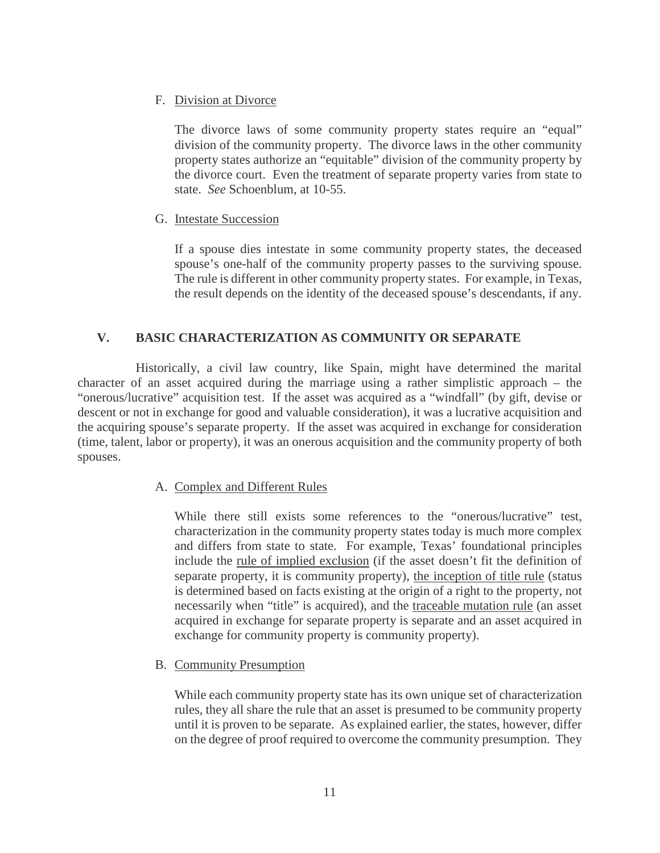#### <span id="page-14-0"></span>F. Division at Divorce

The divorce laws of some community property states require an "equal" division of the community property. The divorce laws in the other community property states authorize an "equitable" division of the community property by the divorce court. Even the treatment of separate property varies from state to state. *See* Schoenblum, at 10-55.

#### <span id="page-14-1"></span>G. Intestate Succession

If a spouse dies intestate in some community property states, the deceased spouse's one-half of the community property passes to the surviving spouse. The rule is different in other community property states. For example, in Texas, the result depends on the identity of the deceased spouse's descendants, if any.

#### <span id="page-14-2"></span>**V. BASIC CHARACTERIZATION AS COMMUNITY OR SEPARATE**

Historically, a civil law country, like Spain, might have determined the marital character of an asset acquired during the marriage using a rather simplistic approach – the "onerous/lucrative" acquisition test. If the asset was acquired as a "windfall" (by gift, devise or descent or not in exchange for good and valuable consideration), it was a lucrative acquisition and the acquiring spouse's separate property. If the asset was acquired in exchange for consideration (time, talent, labor or property), it was an onerous acquisition and the community property of both spouses.

#### <span id="page-14-3"></span>A. Complex and Different Rules

While there still exists some references to the "onerous/lucrative" test, characterization in the community property states today is much more complex and differs from state to state. For example, Texas' foundational principles include the rule of implied exclusion (if the asset doesn't fit the definition of separate property, it is community property), the inception of title rule (status is determined based on facts existing at the origin of a right to the property, not necessarily when "title" is acquired), and the traceable mutation rule (an asset acquired in exchange for separate property is separate and an asset acquired in exchange for community property is community property).

#### <span id="page-14-4"></span>B. Community Presumption

While each community property state has its own unique set of characterization rules, they all share the rule that an asset is presumed to be community property until it is proven to be separate. As explained earlier, the states, however, differ on the degree of proof required to overcome the community presumption. They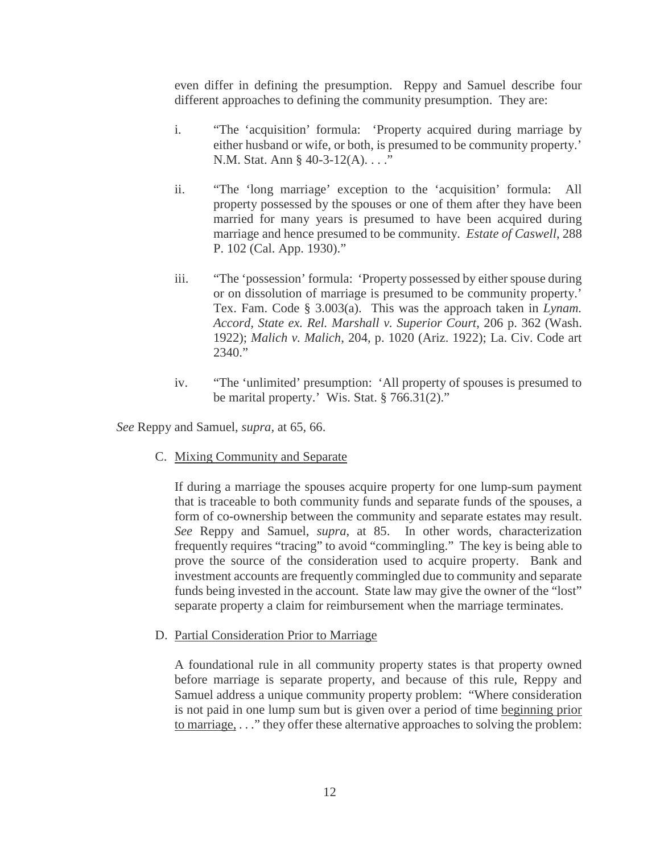even differ in defining the presumption. Reppy and Samuel describe four different approaches to defining the community presumption. They are:

- i. "The 'acquisition' formula: 'Property acquired during marriage by either husband or wife, or both, is presumed to be community property.' N.M. Stat. Ann § 40-3-12(A)...."
- ii. "The 'long marriage' exception to the 'acquisition' formula: All property possessed by the spouses or one of them after they have been married for many years is presumed to have been acquired during marriage and hence presumed to be community. *Estate of Caswell*, 288 P. 102 (Cal. App. 1930)."
- iii. "The 'possession' formula: 'Property possessed by either spouse during or on dissolution of marriage is presumed to be community property.' Tex. Fam. Code § 3.003(a). This was the approach taken in *Lynam. Accord, State ex. Rel. Marshall v. Superior Court*, 206 p. 362 (Wash. 1922); *Malich v. Malich*, 204, p. 1020 (Ariz. 1922); La. Civ. Code art  $2340."$
- iv. "The 'unlimited' presumption: 'All property of spouses is presumed to be marital property.' Wis. Stat. § 766.31(2)."

<span id="page-15-0"></span>*See* Reppy and Samuel, *supra,* at 65, 66.

C. Mixing Community and Separate

If during a marriage the spouses acquire property for one lump-sum payment that is traceable to both community funds and separate funds of the spouses, a form of co-ownership between the community and separate estates may result. *See* Reppy and Samuel, *supra*, at 85. In other words, characterization frequently requires "tracing" to avoid "commingling." The key is being able to prove the source of the consideration used to acquire property. Bank and investment accounts are frequently commingled due to community and separate funds being invested in the account. State law may give the owner of the "lost" separate property a claim for reimbursement when the marriage terminates.

<span id="page-15-1"></span>D. Partial Consideration Prior to Marriage

A foundational rule in all community property states is that property owned before marriage is separate property, and because of this rule, Reppy and Samuel address a unique community property problem: "Where consideration is not paid in one lump sum but is given over a period of time beginning prior to marriage, . . ." they offer these alternative approaches to solving the problem: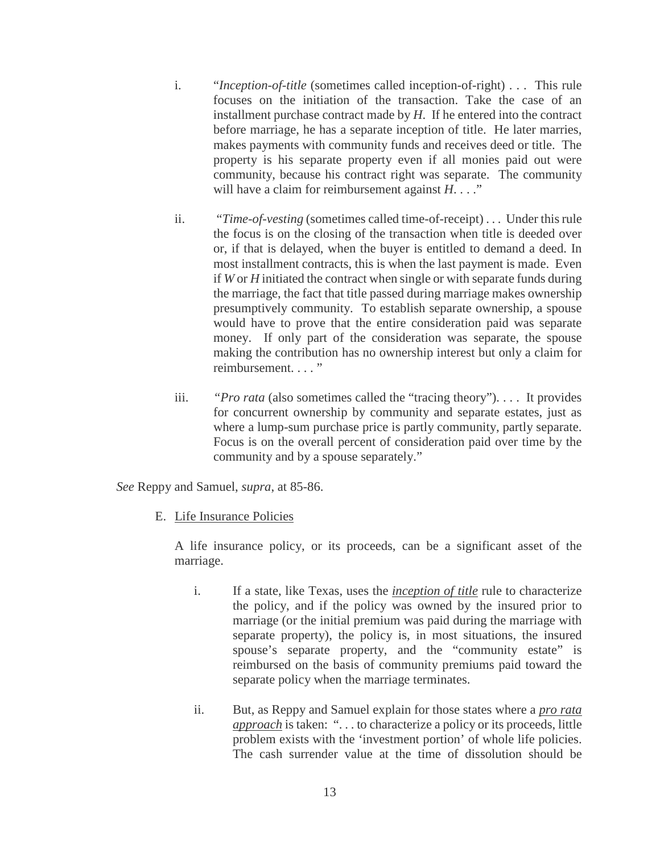- i. "*Inception-of-title* (sometimes called inception-of-right) . . . This rule focuses on the initiation of the transaction. Take the case of an installment purchase contract made by *H*. If he entered into the contract before marriage, he has a separate inception of title. He later marries, makes payments with community funds and receives deed or title. The property is his separate property even if all monies paid out were community, because his contract right was separate. The community will have a claim for reimbursement against *H*. . . ."
- ii. "*Time-of-vesting* (sometimes called time-of-receipt) . . . Under this rule the focus is on the closing of the transaction when title is deeded over or, if that is delayed, when the buyer is entitled to demand a deed. In most installment contracts, this is when the last payment is made. Even if *W* or *H* initiated the contract when single or with separate funds during the marriage, the fact that title passed during marriage makes ownership presumptively community. To establish separate ownership, a spouse would have to prove that the entire consideration paid was separate money. If only part of the consideration was separate, the spouse making the contribution has no ownership interest but only a claim for reimbursement...."
- iii. *"Pro rata* (also sometimes called the "tracing theory"). . . . It provides for concurrent ownership by community and separate estates, just as where a lump-sum purchase price is partly community, partly separate. Focus is on the overall percent of consideration paid over time by the community and by a spouse separately."

<span id="page-16-0"></span>*See* Reppy and Samuel, *supra*, at 85-86.

E. Life Insurance Policies

A life insurance policy, or its proceeds, can be a significant asset of the marriage.

- i. If a state, like Texas, uses the *inception of title* rule to characterize the policy, and if the policy was owned by the insured prior to marriage (or the initial premium was paid during the marriage with separate property), the policy is, in most situations, the insured spouse's separate property, and the "community estate" is reimbursed on the basis of community premiums paid toward the separate policy when the marriage terminates.
- ii. But, as Reppy and Samuel explain for those states where a *pro rata approach* is taken: ". . . to characterize a policy or its proceeds, little problem exists with the 'investment portion' of whole life policies. The cash surrender value at the time of dissolution should be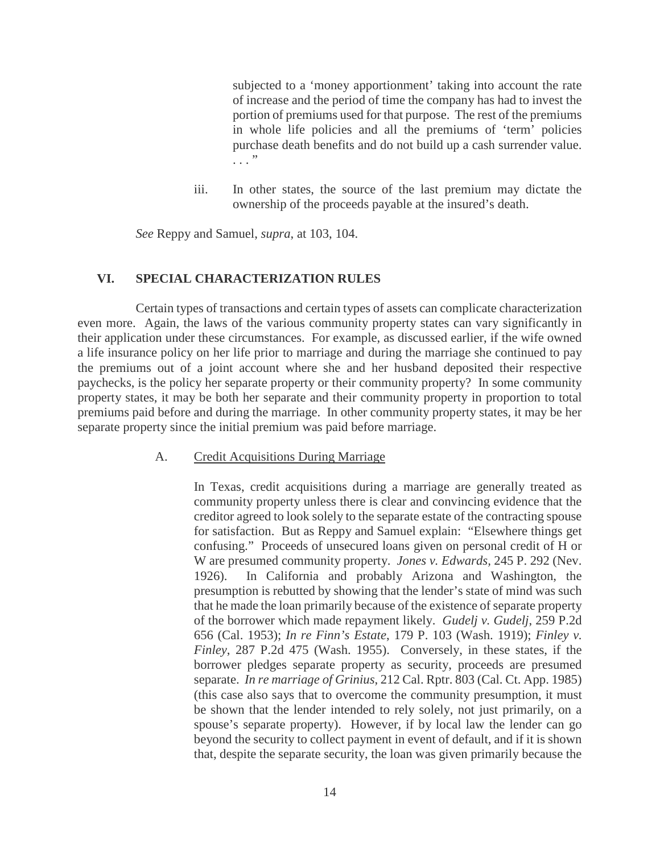subjected to a 'money apportionment' taking into account the rate of increase and the period of time the company has had to invest the portion of premiums used for that purpose. The rest of the premiums in whole life policies and all the premiums of 'term' policies purchase death benefits and do not build up a cash surrender value.  $\cdots$  "

iii. In other states, the source of the last premium may dictate the ownership of the proceeds payable at the insured's death.

*See* Reppy and Samuel, *supra*, at 103, 104.

#### <span id="page-17-0"></span>**VI. SPECIAL CHARACTERIZATION RULES**

Certain types of transactions and certain types of assets can complicate characterization even more. Again, the laws of the various community property states can vary significantly in their application under these circumstances. For example, as discussed earlier, if the wife owned a life insurance policy on her life prior to marriage and during the marriage she continued to pay the premiums out of a joint account where she and her husband deposited their respective paychecks, is the policy her separate property or their community property? In some community property states, it may be both her separate and their community property in proportion to total premiums paid before and during the marriage. In other community property states, it may be her separate property since the initial premium was paid before marriage.

#### <span id="page-17-1"></span>A. Credit Acquisitions During Marriage

In Texas, credit acquisitions during a marriage are generally treated as community property unless there is clear and convincing evidence that the creditor agreed to look solely to the separate estate of the contracting spouse for satisfaction. But as Reppy and Samuel explain: "Elsewhere things get confusing." Proceeds of unsecured loans given on personal credit of H or W are presumed community property. *Jones v. Edwards,* 245 P. 292 (Nev. 1926). In California and probably Arizona and Washington, the presumption is rebutted by showing that the lender's state of mind was such that he made the loan primarily because of the existence of separate property of the borrower which made repayment likely. *Gudelj v. Gudelj*, 259 P.2d 656 (Cal. 1953); *In re Finn's Estate*, 179 P. 103 (Wash. 1919); *Finley v. Finley*, 287 P.2d 475 (Wash. 1955). Conversely, in these states, if the borrower pledges separate property as security, proceeds are presumed separate. *In re marriage of Grinius*, 212 Cal. Rptr. 803 (Cal. Ct. App. 1985) (this case also says that to overcome the community presumption, it must be shown that the lender intended to rely solely, not just primarily, on a spouse's separate property). However, if by local law the lender can go beyond the security to collect payment in event of default, and if it is shown that, despite the separate security, the loan was given primarily because the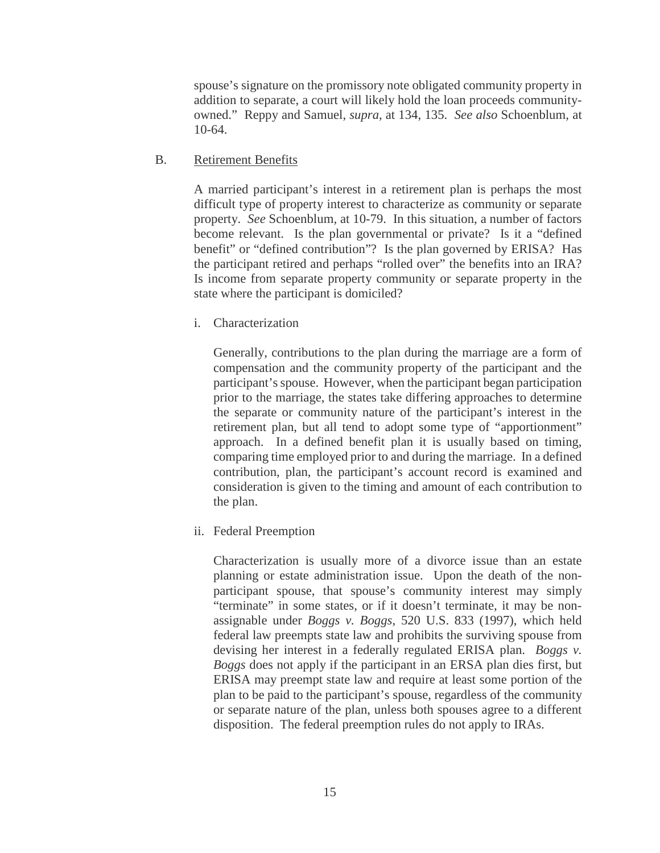spouse's signature on the promissory note obligated community property in addition to separate, a court will likely hold the loan proceeds communityowned." Reppy and Samuel, *supra*, at 134, 135. *See also* Schoenblum, at 10-64.

#### <span id="page-18-0"></span>B. Retirement Benefits

A married participant's interest in a retirement plan is perhaps the most difficult type of property interest to characterize as community or separate property. *See* Schoenblum, at 10-79. In this situation, a number of factors become relevant. Is the plan governmental or private? Is it a "defined benefit" or "defined contribution"? Is the plan governed by ERISA? Has the participant retired and perhaps "rolled over" the benefits into an IRA? Is income from separate property community or separate property in the state where the participant is domiciled?

i. Characterization

Generally, contributions to the plan during the marriage are a form of compensation and the community property of the participant and the participant's spouse. However, when the participant began participation prior to the marriage, the states take differing approaches to determine the separate or community nature of the participant's interest in the retirement plan, but all tend to adopt some type of "apportionment" approach. In a defined benefit plan it is usually based on timing, comparing time employed prior to and during the marriage. In a defined contribution, plan, the participant's account record is examined and consideration is given to the timing and amount of each contribution to the plan.

ii. Federal Preemption

Characterization is usually more of a divorce issue than an estate planning or estate administration issue. Upon the death of the nonparticipant spouse, that spouse's community interest may simply "terminate" in some states, or if it doesn't terminate, it may be nonassignable under *Boggs v. Boggs*, 520 U.S. 833 (1997), which held federal law preempts state law and prohibits the surviving spouse from devising her interest in a federally regulated ERISA plan. *Boggs v. Boggs* does not apply if the participant in an ERSA plan dies first, but ERISA may preempt state law and require at least some portion of the plan to be paid to the participant's spouse, regardless of the community or separate nature of the plan, unless both spouses agree to a different disposition. The federal preemption rules do not apply to IRAs.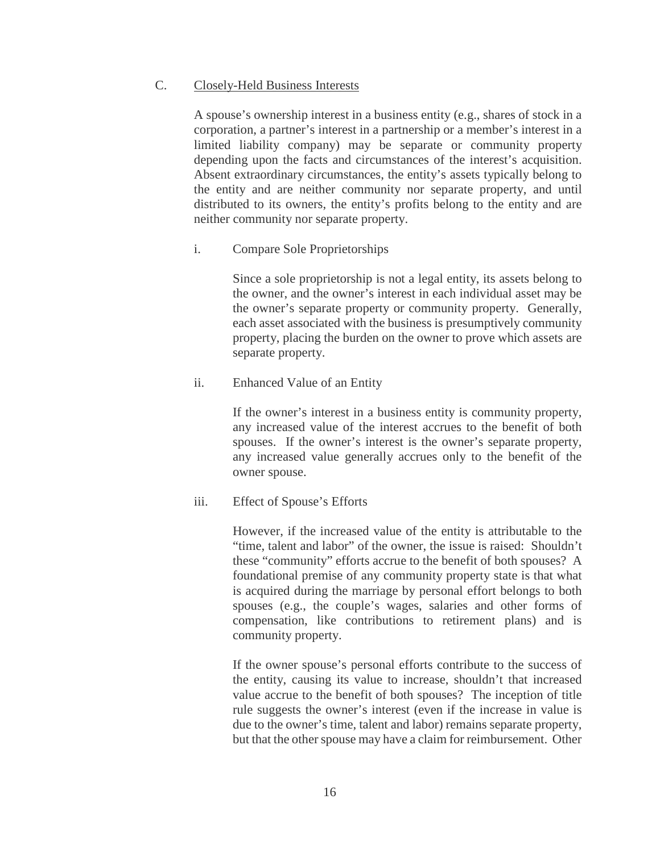#### <span id="page-19-0"></span>C. Closely-Held Business Interests

A spouse's ownership interest in a business entity (e.g., shares of stock in a corporation, a partner's interest in a partnership or a member's interest in a limited liability company) may be separate or community property depending upon the facts and circumstances of the interest's acquisition. Absent extraordinary circumstances, the entity's assets typically belong to the entity and are neither community nor separate property, and until distributed to its owners, the entity's profits belong to the entity and are neither community nor separate property.

i. Compare Sole Proprietorships

Since a sole proprietorship is not a legal entity, its assets belong to the owner, and the owner's interest in each individual asset may be the owner's separate property or community property. Generally, each asset associated with the business is presumptively community property, placing the burden on the owner to prove which assets are separate property.

ii. Enhanced Value of an Entity

If the owner's interest in a business entity is community property, any increased value of the interest accrues to the benefit of both spouses. If the owner's interest is the owner's separate property, any increased value generally accrues only to the benefit of the owner spouse.

#### iii. Effect of Spouse's Efforts

However, if the increased value of the entity is attributable to the "time, talent and labor" of the owner, the issue is raised: Shouldn't these "community" efforts accrue to the benefit of both spouses? A foundational premise of any community property state is that what is acquired during the marriage by personal effort belongs to both spouses (e.g., the couple's wages, salaries and other forms of compensation, like contributions to retirement plans) and is community property.

If the owner spouse's personal efforts contribute to the success of the entity, causing its value to increase, shouldn't that increased value accrue to the benefit of both spouses? The inception of title rule suggests the owner's interest (even if the increase in value is due to the owner's time, talent and labor) remains separate property, but that the other spouse may have a claim for reimbursement. Other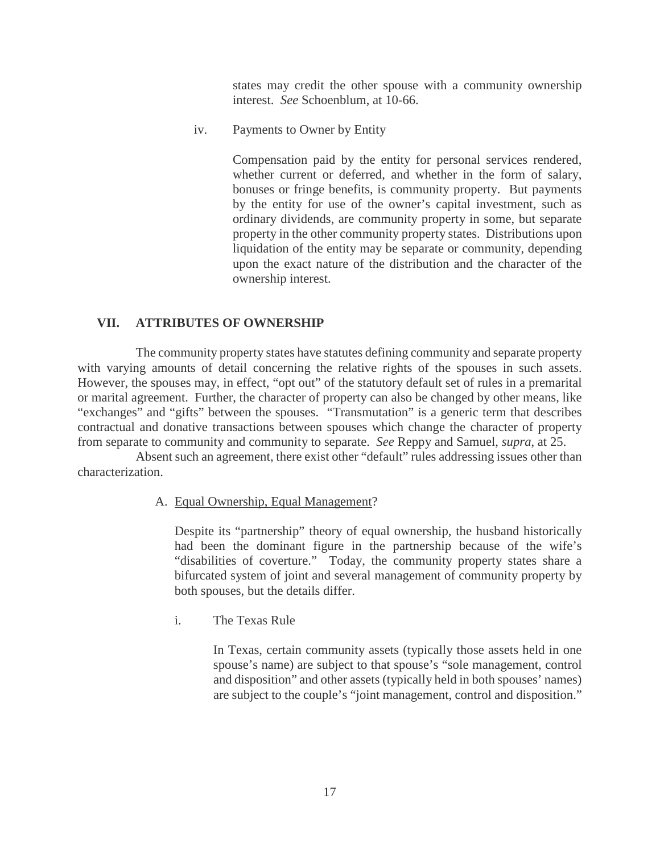states may credit the other spouse with a community ownership interest. *See* Schoenblum, at 10-66.

iv. Payments to Owner by Entity

Compensation paid by the entity for personal services rendered, whether current or deferred, and whether in the form of salary, bonuses or fringe benefits, is community property. But payments by the entity for use of the owner's capital investment, such as ordinary dividends, are community property in some, but separate property in the other community property states. Distributions upon liquidation of the entity may be separate or community, depending upon the exact nature of the distribution and the character of the ownership interest.

#### <span id="page-20-0"></span>**VII. ATTRIBUTES OF OWNERSHIP**

The community property states have statutes defining community and separate property with varying amounts of detail concerning the relative rights of the spouses in such assets. However, the spouses may, in effect, "opt out" of the statutory default set of rules in a premarital or marital agreement. Further, the character of property can also be changed by other means, like "exchanges" and "gifts" between the spouses. "Transmutation" is a generic term that describes contractual and donative transactions between spouses which change the character of property from separate to community and community to separate. *See* Reppy and Samuel, *supra*, at 25.

<span id="page-20-1"></span>Absent such an agreement, there exist other "default" rules addressing issues other than characterization.

#### A. Equal Ownership, Equal Management?

Despite its "partnership" theory of equal ownership, the husband historically had been the dominant figure in the partnership because of the wife's "disabilities of coverture." Today, the community property states share a bifurcated system of joint and several management of community property by both spouses, but the details differ.

i. The Texas Rule

In Texas, certain community assets (typically those assets held in one spouse's name) are subject to that spouse's "sole management, control and disposition" and other assets (typically held in both spouses' names) are subject to the couple's "joint management, control and disposition."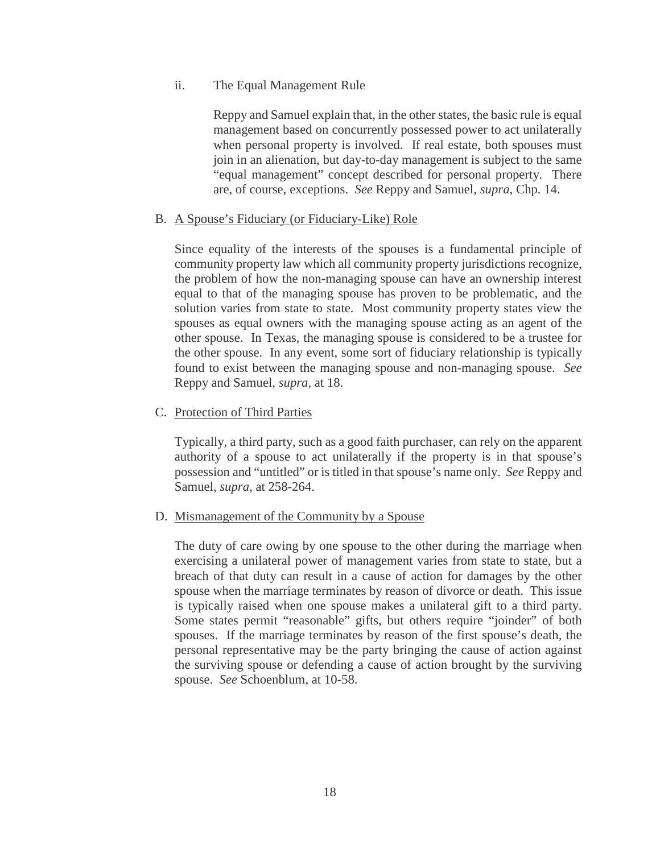#### ii. The Equal Management Rule

Reppy and Samuel explain that, in the other states, the basic rule is equal management based on concurrently possessed power to act unilaterally when personal property is involved. If real estate, both spouses must join in an alienation, but day-to-day management is subject to the same "equal management" concept described for personal property. There are, of course, exceptions. *See* Reppy and Samuel, *supra*, Chp. 14.

#### <span id="page-21-0"></span>B. A Spouse's Fiduciary (or Fiduciary-Like) Role

Since equality of the interests of the spouses is a fundamental principle of community property law which all community property jurisdictions recognize, the problem of how the non-managing spouse can have an ownership interest equal to that of the managing spouse has proven to be problematic, and the solution varies from state to state. Most community property states view the spouses as equal owners with the managing spouse acting as an agent of the other spouse. In Texas, the managing spouse is considered to be a trustee for the other spouse. In any event, some sort of fiduciary relationship is typically found to exist between the managing spouse and non-managing spouse. *See* Reppy and Samuel, *supra*, at 18.

#### <span id="page-21-1"></span>C. Protection of Third Parties

Typically, a third party, such as a good faith purchaser, can rely on the apparent authority of a spouse to act unilaterally if the property is in that spouse's possession and "untitled" or is titled in that spouse's name only. *See* Reppy and Samuel, *supra*, at 258-264.

#### <span id="page-21-2"></span>D. Mismanagement of the Community by a Spouse

The duty of care owing by one spouse to the other during the marriage when exercising a unilateral power of management varies from state to state, but a breach of that duty can result in a cause of action for damages by the other spouse when the marriage terminates by reason of divorce or death. This issue is typically raised when one spouse makes a unilateral gift to a third party. Some states permit "reasonable" gifts, but others require "joinder" of both spouses. If the marriage terminates by reason of the first spouse's death, the personal representative may be the party bringing the cause of action against the surviving spouse or defending a cause of action brought by the surviving spouse. *See* Schoenblum, at 10-58.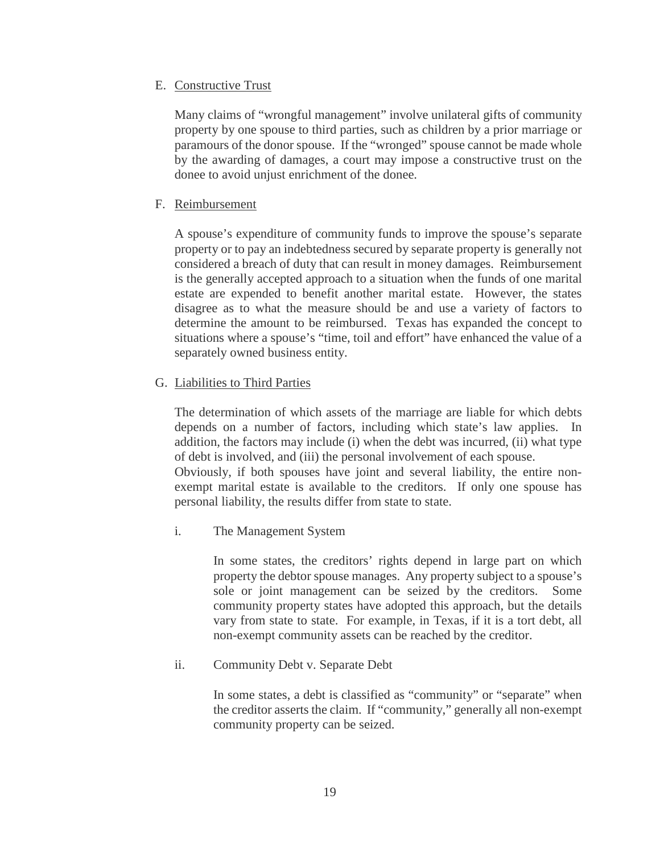#### <span id="page-22-0"></span>E. Constructive Trust

Many claims of "wrongful management" involve unilateral gifts of community property by one spouse to third parties, such as children by a prior marriage or paramours of the donor spouse. If the "wronged" spouse cannot be made whole by the awarding of damages, a court may impose a constructive trust on the donee to avoid unjust enrichment of the donee.

#### <span id="page-22-1"></span>F. Reimbursement

A spouse's expenditure of community funds to improve the spouse's separate property or to pay an indebtedness secured by separate property is generally not considered a breach of duty that can result in money damages. Reimbursement is the generally accepted approach to a situation when the funds of one marital estate are expended to benefit another marital estate. However, the states disagree as to what the measure should be and use a variety of factors to determine the amount to be reimbursed. Texas has expanded the concept to situations where a spouse's "time, toil and effort" have enhanced the value of a separately owned business entity.

#### <span id="page-22-2"></span>G. Liabilities to Third Parties

The determination of which assets of the marriage are liable for which debts depends on a number of factors, including which state's law applies. In addition, the factors may include (i) when the debt was incurred, (ii) what type of debt is involved, and (iii) the personal involvement of each spouse.

Obviously, if both spouses have joint and several liability, the entire nonexempt marital estate is available to the creditors. If only one spouse has personal liability, the results differ from state to state.

i. The Management System

In some states, the creditors' rights depend in large part on which property the debtor spouse manages. Any property subject to a spouse's sole or joint management can be seized by the creditors. Some community property states have adopted this approach, but the details vary from state to state. For example, in Texas, if it is a tort debt, all non-exempt community assets can be reached by the creditor.

ii. Community Debt v. Separate Debt

In some states, a debt is classified as "community" or "separate" when the creditor asserts the claim. If "community," generally all non-exempt community property can be seized.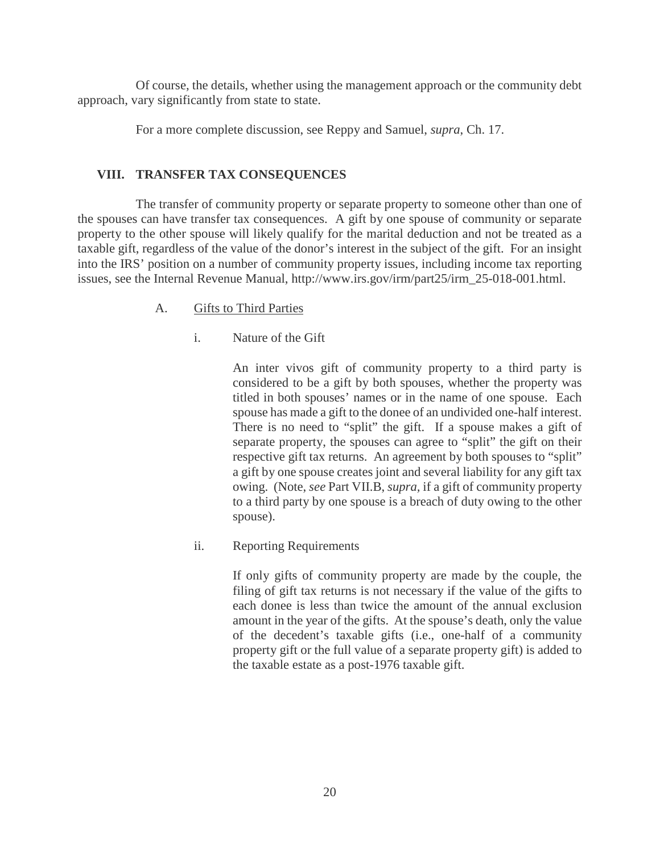Of course, the details, whether using the management approach or the community debt approach, vary significantly from state to state.

For a more complete discussion, see Reppy and Samuel, *supra*, Ch. 17.

#### <span id="page-23-0"></span>**VIII. TRANSFER TAX CONSEQUENCES**

The transfer of community property or separate property to someone other than one of the spouses can have transfer tax consequences. A gift by one spouse of community or separate property to the other spouse will likely qualify for the marital deduction and not be treated as a taxable gift, regardless of the value of the donor's interest in the subject of the gift. For an insight into the IRS' position on a number of community property issues, including income tax reporting issues, see the Internal Revenue Manual, http://www.irs.gov/irm/part25/irm\_25-018-001.html.

#### <span id="page-23-1"></span>A. Gifts to Third Parties

#### i. Nature of the Gift

An inter vivos gift of community property to a third party is considered to be a gift by both spouses, whether the property was titled in both spouses' names or in the name of one spouse. Each spouse has made a gift to the donee of an undivided one-half interest. There is no need to "split" the gift. If a spouse makes a gift of separate property, the spouses can agree to "split" the gift on their respective gift tax returns. An agreement by both spouses to "split" a gift by one spouse creates joint and several liability for any gift tax owing. (Note, *see* Part VII.B, *supra,* if a gift of community property to a third party by one spouse is a breach of duty owing to the other spouse).

ii. Reporting Requirements

If only gifts of community property are made by the couple, the filing of gift tax returns is not necessary if the value of the gifts to each donee is less than twice the amount of the annual exclusion amount in the year of the gifts. At the spouse's death, only the value of the decedent's taxable gifts (i.e., one-half of a community property gift or the full value of a separate property gift) is added to the taxable estate as a post-1976 taxable gift.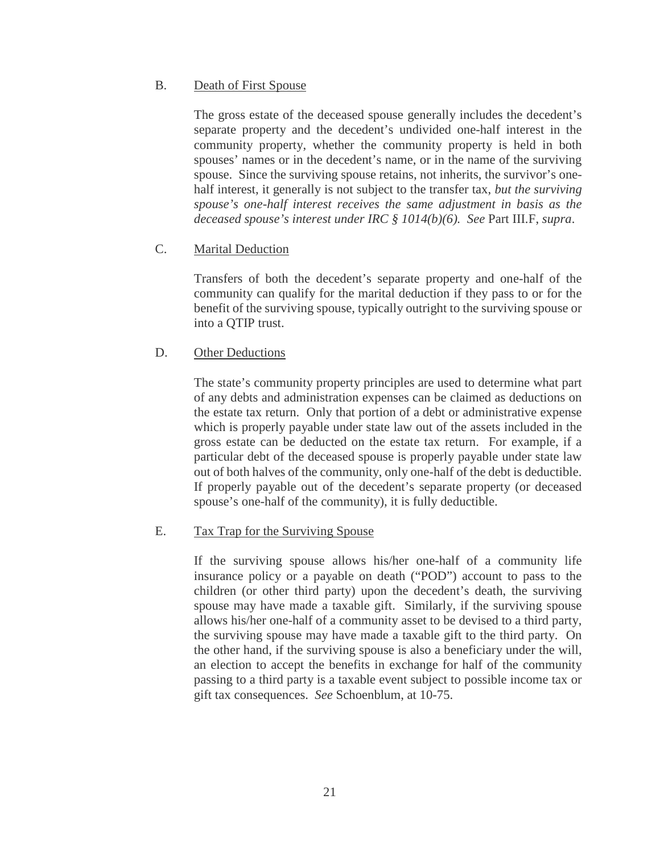#### <span id="page-24-0"></span>B. Death of First Spouse

The gross estate of the deceased spouse generally includes the decedent's separate property and the decedent's undivided one-half interest in the community property, whether the community property is held in both spouses' names or in the decedent's name, or in the name of the surviving spouse. Since the surviving spouse retains, not inherits, the survivor's onehalf interest, it generally is not subject to the transfer tax, *but the surviving spouse's one-half interest receives the same adjustment in basis as the deceased spouse's interest under IRC § 1014(b)(6). See* Part III.F, *supra*.

#### <span id="page-24-1"></span>C. Marital Deduction

Transfers of both the decedent's separate property and one-half of the community can qualify for the marital deduction if they pass to or for the benefit of the surviving spouse, typically outright to the surviving spouse or into a QTIP trust.

#### <span id="page-24-2"></span>D. Other Deductions

The state's community property principles are used to determine what part of any debts and administration expenses can be claimed as deductions on the estate tax return. Only that portion of a debt or administrative expense which is properly payable under state law out of the assets included in the gross estate can be deducted on the estate tax return. For example, if a particular debt of the deceased spouse is properly payable under state law out of both halves of the community, only one-half of the debt is deductible. If properly payable out of the decedent's separate property (or deceased spouse's one-half of the community), it is fully deductible.

#### <span id="page-24-3"></span>E. Tax Trap for the Surviving Spouse

If the surviving spouse allows his/her one-half of a community life insurance policy or a payable on death ("POD") account to pass to the children (or other third party) upon the decedent's death, the surviving spouse may have made a taxable gift. Similarly, if the surviving spouse allows his/her one-half of a community asset to be devised to a third party, the surviving spouse may have made a taxable gift to the third party. On the other hand, if the surviving spouse is also a beneficiary under the will, an election to accept the benefits in exchange for half of the community passing to a third party is a taxable event subject to possible income tax or gift tax consequences. *See* Schoenblum, at 10-75.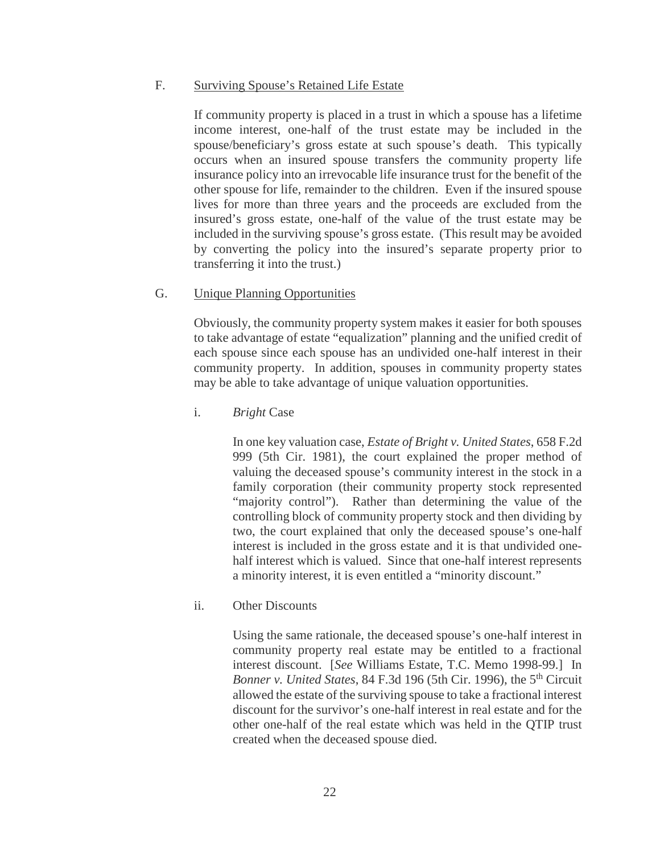#### <span id="page-25-0"></span>F. Surviving Spouse's Retained Life Estate

If community property is placed in a trust in which a spouse has a lifetime income interest, one-half of the trust estate may be included in the spouse/beneficiary's gross estate at such spouse's death. This typically occurs when an insured spouse transfers the community property life insurance policy into an irrevocable life insurance trust for the benefit of the other spouse for life, remainder to the children. Even if the insured spouse lives for more than three years and the proceeds are excluded from the insured's gross estate, one-half of the value of the trust estate may be included in the surviving spouse's gross estate. (This result may be avoided by converting the policy into the insured's separate property prior to transferring it into the trust.)

#### <span id="page-25-1"></span>G. Unique Planning Opportunities

Obviously, the community property system makes it easier for both spouses to take advantage of estate "equalization" planning and the unified credit of each spouse since each spouse has an undivided one-half interest in their community property. In addition, spouses in community property states may be able to take advantage of unique valuation opportunities.

#### i. *Bright* Case

In one key valuation case, *Estate of Bright v. United States*, 658 F.2d 999 (5th Cir. 1981), the court explained the proper method of valuing the deceased spouse's community interest in the stock in a family corporation (their community property stock represented "majority control"). Rather than determining the value of the controlling block of community property stock and then dividing by two, the court explained that only the deceased spouse's one-half interest is included in the gross estate and it is that undivided onehalf interest which is valued. Since that one-half interest represents a minority interest, it is even entitled a "minority discount."

#### ii. Other Discounts

Using the same rationale, the deceased spouse's one-half interest in community property real estate may be entitled to a fractional interest discount. [*See* Williams Estate, T.C. Memo 1998-99.] In *Bonner v. United States, 84 F.3d 196 (5th Cir. 1996), the 5<sup>th</sup> Circuit* allowed the estate of the surviving spouse to take a fractional interest discount for the survivor's one-half interest in real estate and for the other one-half of the real estate which was held in the QTIP trust created when the deceased spouse died.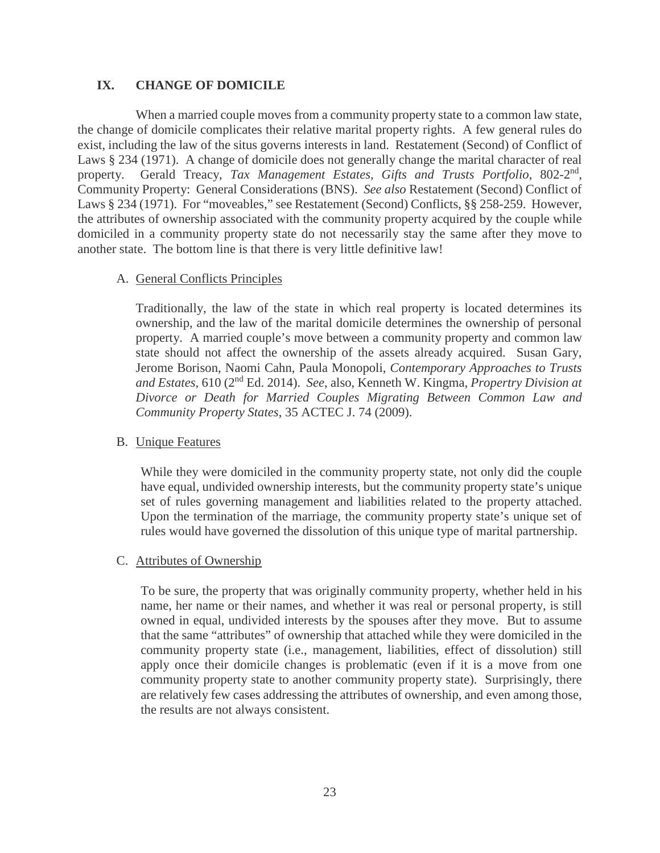#### <span id="page-26-0"></span>**IX. CHANGE OF DOMICILE**

When a married couple moves from a community property state to a common law state, the change of domicile complicates their relative marital property rights. A few general rules do exist, including the law of the situs governs interests in land. Restatement (Second) of Conflict of Laws § 234 (1971). A change of domicile does not generally change the marital character of real property. Gerald Treacy, Tax Management Estates, Gifts and Trusts Portfolio, 802-2<sup>nd</sup>, Community Property: General Considerations (BNS). *See also* Restatement (Second) Conflict of Laws § 234 (1971). For "moveables," see Restatement (Second) Conflicts, §§ 258-259. However, the attributes of ownership associated with the community property acquired by the couple while domiciled in a community property state do not necessarily stay the same after they move to another state. The bottom line is that there is very little definitive law!

#### <span id="page-26-1"></span>A. General Conflicts Principles

Traditionally, the law of the state in which real property is located determines its ownership, and the law of the marital domicile determines the ownership of personal property. A married couple's move between a community property and common law state should not affect the ownership of the assets already acquired. Susan Gary, Jerome Borison, Naomi Cahn, Paula Monopoli, *Contemporary Approaches to Trusts and Estates*, 610 (2nd Ed. 2014). *See*, also, Kenneth W. Kingma, *Propertry Division at Divorce or Death for Married Couples Migrating Between Common Law and Community Property States*, 35 ACTEC J. 74 (2009).

#### <span id="page-26-2"></span>B. Unique Features

While they were domiciled in the community property state, not only did the couple have equal, undivided ownership interests, but the community property state's unique set of rules governing management and liabilities related to the property attached. Upon the termination of the marriage, the community property state's unique set of rules would have governed the dissolution of this unique type of marital partnership.

#### <span id="page-26-3"></span>C. Attributes of Ownership

To be sure, the property that was originally community property, whether held in his name, her name or their names, and whether it was real or personal property, is still owned in equal, undivided interests by the spouses after they move. But to assume that the same "attributes" of ownership that attached while they were domiciled in the community property state (i.e., management, liabilities, effect of dissolution) still apply once their domicile changes is problematic (even if it is a move from one community property state to another community property state). Surprisingly, there are relatively few cases addressing the attributes of ownership, and even among those, the results are not always consistent.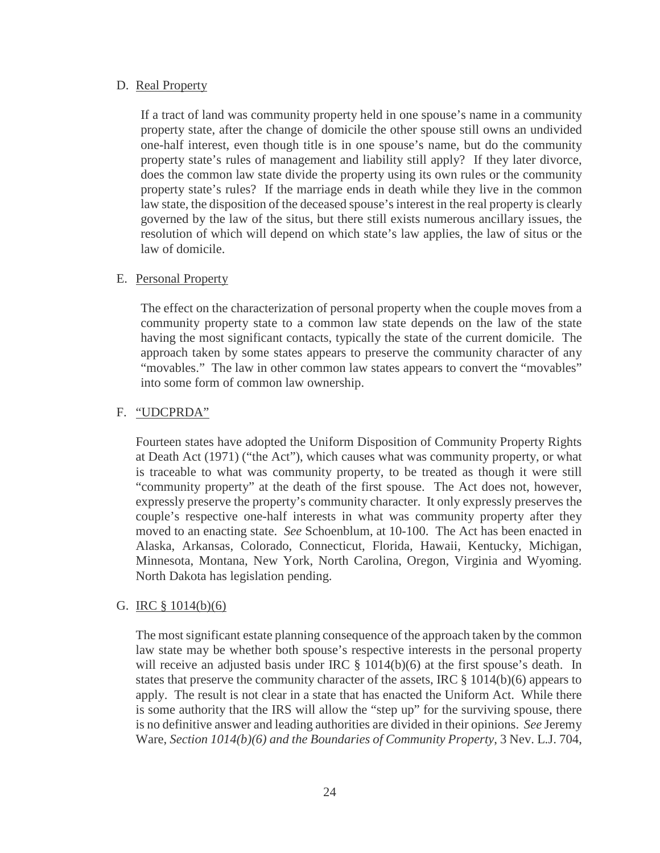#### <span id="page-27-0"></span>D. Real Property

If a tract of land was community property held in one spouse's name in a community property state, after the change of domicile the other spouse still owns an undivided one-half interest, even though title is in one spouse's name, but do the community property state's rules of management and liability still apply? If they later divorce, does the common law state divide the property using its own rules or the community property state's rules? If the marriage ends in death while they live in the common law state, the disposition of the deceased spouse's interest in the real property is clearly governed by the law of the situs, but there still exists numerous ancillary issues, the resolution of which will depend on which state's law applies, the law of situs or the law of domicile.

#### <span id="page-27-1"></span>E. Personal Property

The effect on the characterization of personal property when the couple moves from a community property state to a common law state depends on the law of the state having the most significant contacts, typically the state of the current domicile. The approach taken by some states appears to preserve the community character of any "movables." The law in other common law states appears to convert the "movables" into some form of common law ownership.

#### <span id="page-27-2"></span>F. "UDCPRDA"

Fourteen states have adopted the Uniform Disposition of Community Property Rights at Death Act (1971) ("the Act"), which causes what was community property, or what is traceable to what was community property, to be treated as though it were still "community property" at the death of the first spouse. The Act does not, however, expressly preserve the property's community character. It only expressly preserves the couple's respective one-half interests in what was community property after they moved to an enacting state. *See* Schoenblum, at 10-100. The Act has been enacted in Alaska, Arkansas, Colorado, Connecticut, Florida, Hawaii, Kentucky, Michigan, Minnesota, Montana, New York, North Carolina, Oregon, Virginia and Wyoming. North Dakota has legislation pending.

#### <span id="page-27-3"></span>G. IRC § 1014(b)(6)

The most significant estate planning consequence of the approach taken by the common law state may be whether both spouse's respective interests in the personal property will receive an adjusted basis under IRC  $\S$  1014(b)(6) at the first spouse's death. In states that preserve the community character of the assets, IRC § 1014(b)(6) appears to apply. The result is not clear in a state that has enacted the Uniform Act. While there is some authority that the IRS will allow the "step up" for the surviving spouse, there is no definitive answer and leading authorities are divided in their opinions. *See* Jeremy Ware, *Section 1014(b)(6) and the Boundaries of Community Property*, 3 Nev. L.J. 704,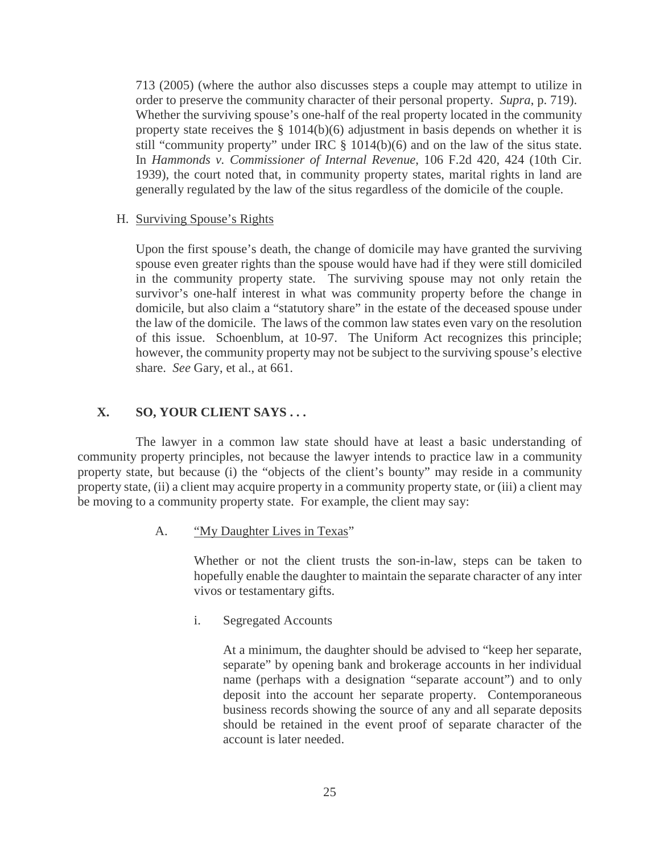713 (2005) (where the author also discusses steps a couple may attempt to utilize in order to preserve the community character of their personal property. *Supra*, p. 719). Whether the surviving spouse's one-half of the real property located in the community property state receives the § 1014(b)(6) adjustment in basis depends on whether it is still "community property" under IRC § 1014(b)(6) and on the law of the situs state. In *Hammonds v. Commissioner of Internal Revenue*, 106 F.2d 420, 424 (10th Cir. 1939), the court noted that, in community property states, marital rights in land are generally regulated by the law of the situs regardless of the domicile of the couple.

<span id="page-28-0"></span>H. Surviving Spouse's Rights

Upon the first spouse's death, the change of domicile may have granted the surviving spouse even greater rights than the spouse would have had if they were still domiciled in the community property state. The surviving spouse may not only retain the survivor's one-half interest in what was community property before the change in domicile, but also claim a "statutory share" in the estate of the deceased spouse under the law of the domicile. The laws of the common law states even vary on the resolution of this issue. Schoenblum, at 10-97. The Uniform Act recognizes this principle; however, the community property may not be subject to the surviving spouse's elective share. *See* Gary, et al., at 661.

#### <span id="page-28-1"></span>**X. SO, YOUR CLIENT SAYS . . .**

The lawyer in a common law state should have at least a basic understanding of community property principles, not because the lawyer intends to practice law in a community property state, but because (i) the "objects of the client's bounty" may reside in a community property state, (ii) a client may acquire property in a community property state, or (iii) a client may be moving to a community property state. For example, the client may say:

<span id="page-28-2"></span>A. "My Daughter Lives in Texas"

Whether or not the client trusts the son-in-law, steps can be taken to hopefully enable the daughter to maintain the separate character of any inter vivos or testamentary gifts.

i. Segregated Accounts

At a minimum, the daughter should be advised to "keep her separate, separate" by opening bank and brokerage accounts in her individual name (perhaps with a designation "separate account") and to only deposit into the account her separate property. Contemporaneous business records showing the source of any and all separate deposits should be retained in the event proof of separate character of the account is later needed.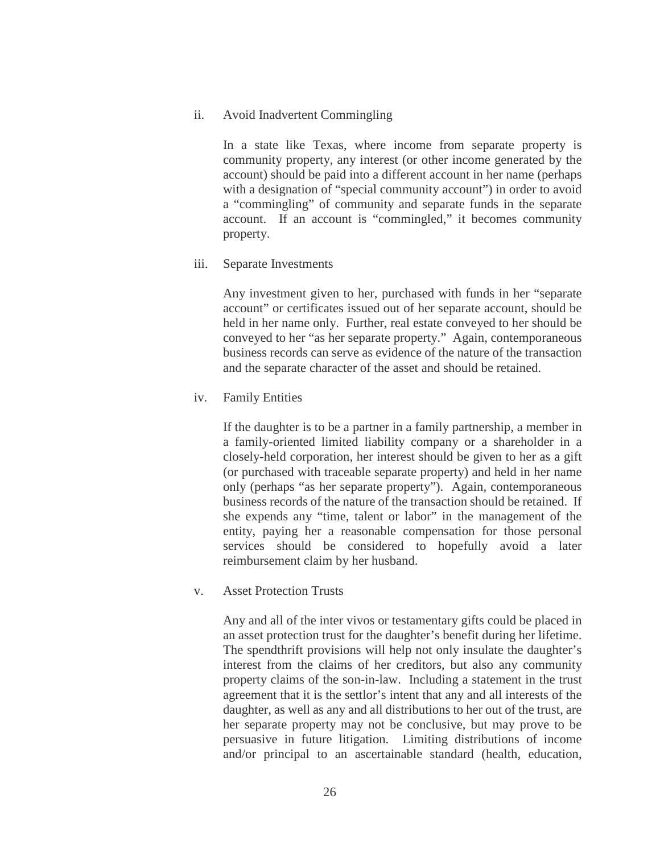ii. Avoid Inadvertent Commingling

In a state like Texas, where income from separate property is community property, any interest (or other income generated by the account) should be paid into a different account in her name (perhaps with a designation of "special community account" in order to avoid a "commingling" of community and separate funds in the separate account. If an account is "commingled," it becomes community property.

iii. Separate Investments

Any investment given to her, purchased with funds in her "separate account" or certificates issued out of her separate account, should be held in her name only. Further, real estate conveyed to her should be conveyed to her "as her separate property." Again, contemporaneous business records can serve as evidence of the nature of the transaction and the separate character of the asset and should be retained.

iv. Family Entities

If the daughter is to be a partner in a family partnership, a member in a family-oriented limited liability company or a shareholder in a closely-held corporation, her interest should be given to her as a gift (or purchased with traceable separate property) and held in her name only (perhaps "as her separate property"). Again, contemporaneous business records of the nature of the transaction should be retained. If she expends any "time, talent or labor" in the management of the entity, paying her a reasonable compensation for those personal services should be considered to hopefully avoid a later reimbursement claim by her husband.

v. Asset Protection Trusts

Any and all of the inter vivos or testamentary gifts could be placed in an asset protection trust for the daughter's benefit during her lifetime. The spendthrift provisions will help not only insulate the daughter's interest from the claims of her creditors, but also any community property claims of the son-in-law. Including a statement in the trust agreement that it is the settlor's intent that any and all interests of the daughter, as well as any and all distributions to her out of the trust, are her separate property may not be conclusive, but may prove to be persuasive in future litigation. Limiting distributions of income and/or principal to an ascertainable standard (health, education,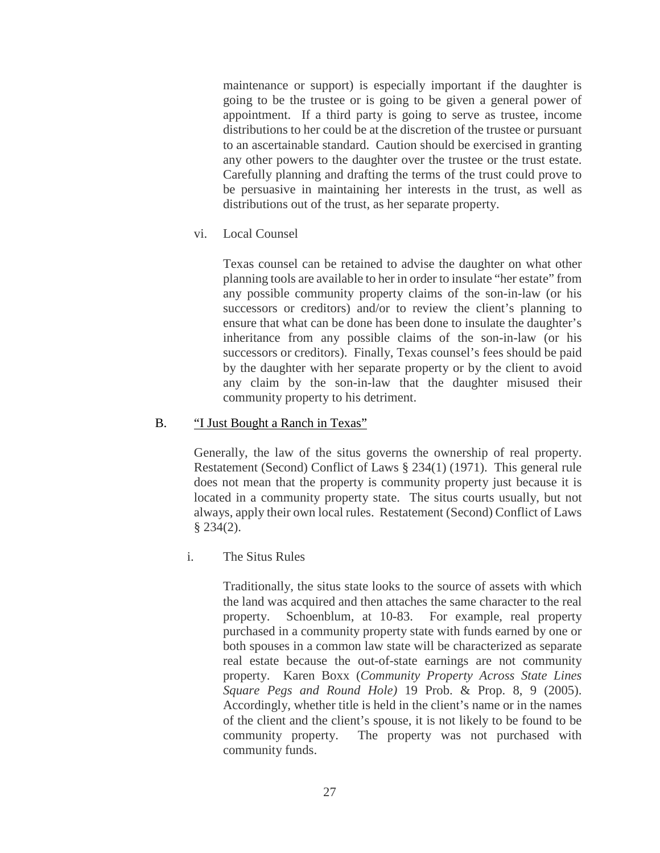maintenance or support) is especially important if the daughter is going to be the trustee or is going to be given a general power of appointment. If a third party is going to serve as trustee, income distributions to her could be at the discretion of the trustee or pursuant to an ascertainable standard. Caution should be exercised in granting any other powers to the daughter over the trustee or the trust estate. Carefully planning and drafting the terms of the trust could prove to be persuasive in maintaining her interests in the trust, as well as distributions out of the trust, as her separate property.

vi. Local Counsel

Texas counsel can be retained to advise the daughter on what other planning tools are available to her in order to insulate "her estate" from any possible community property claims of the son-in-law (or his successors or creditors) and/or to review the client's planning to ensure that what can be done has been done to insulate the daughter's inheritance from any possible claims of the son-in-law (or his successors or creditors). Finally, Texas counsel's fees should be paid by the daughter with her separate property or by the client to avoid any claim by the son-in-law that the daughter misused their community property to his detriment.

#### <span id="page-30-0"></span>B. "I Just Bought a Ranch in Texas"

Generally, the law of the situs governs the ownership of real property. Restatement (Second) Conflict of Laws § 234(1) (1971). This general rule does not mean that the property is community property just because it is located in a community property state. The situs courts usually, but not always, apply their own local rules. Restatement (Second) Conflict of Laws § 234(2).

i. The Situs Rules

Traditionally, the situs state looks to the source of assets with which the land was acquired and then attaches the same character to the real property. Schoenblum, at 10-83. For example, real property purchased in a community property state with funds earned by one or both spouses in a common law state will be characterized as separate real estate because the out-of-state earnings are not community property. Karen Boxx (*Community Property Across State Lines Square Pegs and Round Hole)* 19 Prob. & Prop. 8, 9 (2005). Accordingly, whether title is held in the client's name or in the names of the client and the client's spouse, it is not likely to be found to be community property. The property was not purchased with community funds.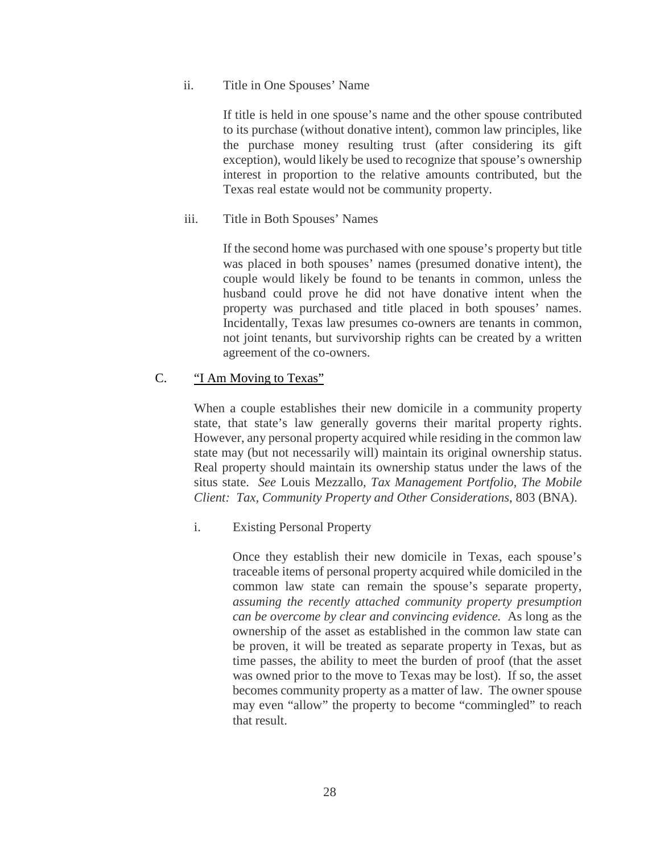#### ii. Title in One Spouses' Name

If title is held in one spouse's name and the other spouse contributed to its purchase (without donative intent), common law principles, like the purchase money resulting trust (after considering its gift exception), would likely be used to recognize that spouse's ownership interest in proportion to the relative amounts contributed, but the Texas real estate would not be community property.

#### iii. Title in Both Spouses' Names

If the second home was purchased with one spouse's property but title was placed in both spouses' names (presumed donative intent), the couple would likely be found to be tenants in common, unless the husband could prove he did not have donative intent when the property was purchased and title placed in both spouses' names. Incidentally, Texas law presumes co-owners are tenants in common, not joint tenants, but survivorship rights can be created by a written agreement of the co-owners.

#### <span id="page-31-0"></span>C. 
<u>"I Am Moving to Texas"</u>

When a couple establishes their new domicile in a community property state, that state's law generally governs their marital property rights. However, any personal property acquired while residing in the common law state may (but not necessarily will) maintain its original ownership status. Real property should maintain its ownership status under the laws of the situs state. *See* Louis Mezzallo, *Tax Management Portfolio, The Mobile Client: Tax, Community Property and Other Considerations*, 803 (BNA).

#### i. Existing Personal Property

Once they establish their new domicile in Texas, each spouse's traceable items of personal property acquired while domiciled in the common law state can remain the spouse's separate property, *assuming the recently attached community property presumption can be overcome by clear and convincing evidence.* As long as the ownership of the asset as established in the common law state can be proven, it will be treated as separate property in Texas, but as time passes, the ability to meet the burden of proof (that the asset was owned prior to the move to Texas may be lost). If so, the asset becomes community property as a matter of law. The owner spouse may even "allow" the property to become "commingled" to reach that result.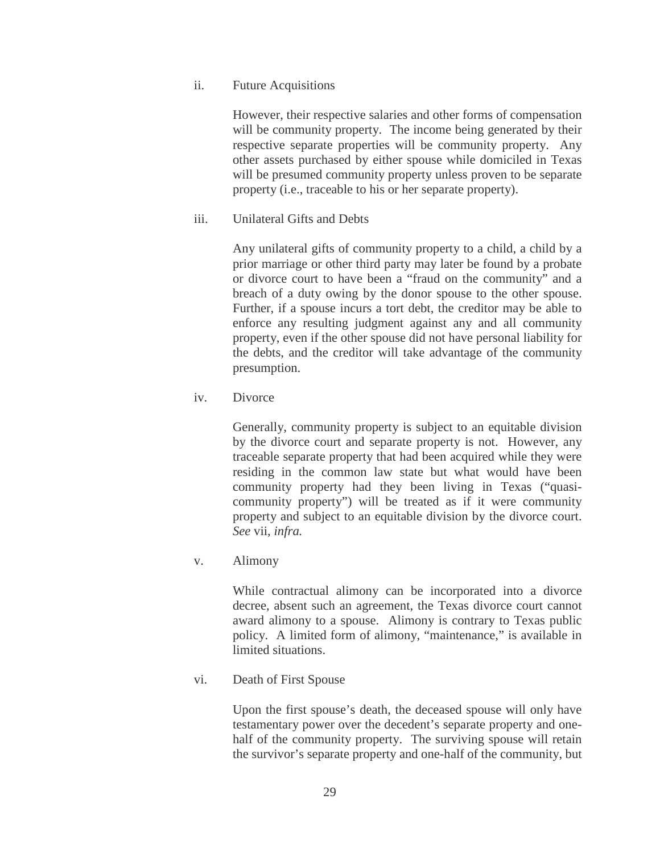ii. Future Acquisitions

However, their respective salaries and other forms of compensation will be community property. The income being generated by their respective separate properties will be community property. Any other assets purchased by either spouse while domiciled in Texas will be presumed community property unless proven to be separate property (i.e., traceable to his or her separate property).

iii. Unilateral Gifts and Debts

Any unilateral gifts of community property to a child, a child by a prior marriage or other third party may later be found by a probate or divorce court to have been a "fraud on the community" and a breach of a duty owing by the donor spouse to the other spouse. Further, if a spouse incurs a tort debt, the creditor may be able to enforce any resulting judgment against any and all community property, even if the other spouse did not have personal liability for the debts, and the creditor will take advantage of the community presumption.

iv. Divorce

Generally, community property is subject to an equitable division by the divorce court and separate property is not. However, any traceable separate property that had been acquired while they were residing in the common law state but what would have been community property had they been living in Texas ("quasicommunity property") will be treated as if it were community property and subject to an equitable division by the divorce court. *See* vii, *infra.*

v. Alimony

While contractual alimony can be incorporated into a divorce decree, absent such an agreement, the Texas divorce court cannot award alimony to a spouse. Alimony is contrary to Texas public policy. A limited form of alimony, "maintenance," is available in limited situations.

vi. Death of First Spouse

Upon the first spouse's death, the deceased spouse will only have testamentary power over the decedent's separate property and onehalf of the community property. The surviving spouse will retain the survivor's separate property and one-half of the community, but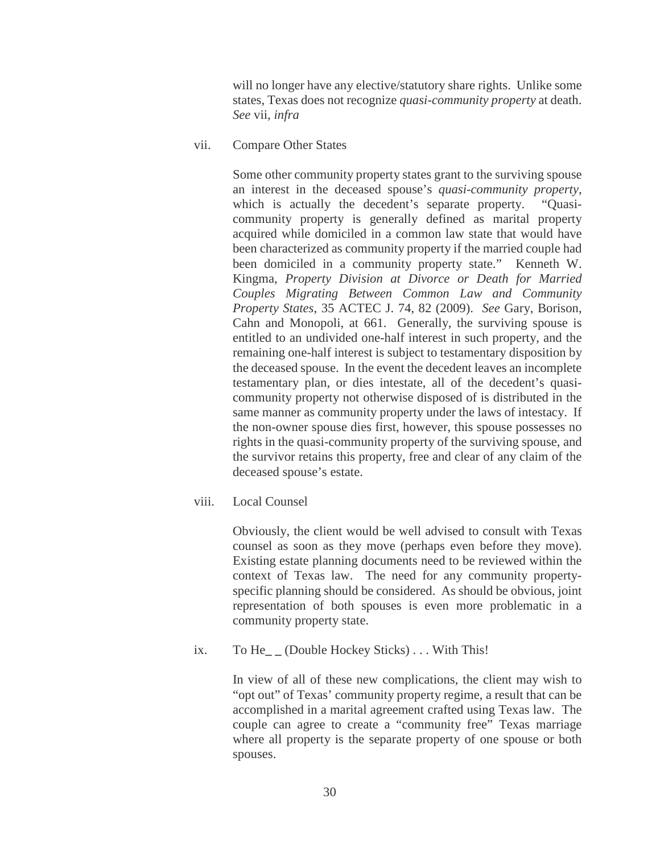will no longer have any elective/statutory share rights. Unlike some states, Texas does not recognize *quasi-community property* at death. *See* vii, *infra*

vii. Compare Other States

Some other community property states grant to the surviving spouse an interest in the deceased spouse's *quasi-community property*, which is actually the decedent's separate property. "Quasicommunity property is generally defined as marital property acquired while domiciled in a common law state that would have been characterized as community property if the married couple had been domiciled in a community property state." Kenneth W. Kingma, *Property Division at Divorce or Death for Married Couples Migrating Between Common Law and Community Property States*, 35 ACTEC J. 74, 82 (2009). *See* Gary, Borison, Cahn and Monopoli, at 661. Generally, the surviving spouse is entitled to an undivided one-half interest in such property, and the remaining one-half interest is subject to testamentary disposition by the deceased spouse. In the event the decedent leaves an incomplete testamentary plan, or dies intestate, all of the decedent's quasicommunity property not otherwise disposed of is distributed in the same manner as community property under the laws of intestacy. If the non-owner spouse dies first, however, this spouse possesses no rights in the quasi-community property of the surviving spouse, and the survivor retains this property, free and clear of any claim of the deceased spouse's estate.

viii. Local Counsel

Obviously, the client would be well advised to consult with Texas counsel as soon as they move (perhaps even before they move). Existing estate planning documents need to be reviewed within the context of Texas law. The need for any community propertyspecific planning should be considered. As should be obvious, joint representation of both spouses is even more problematic in a community property state.

ix. To He<sub>rm</sub> (Double Hockey Sticks) . . . With This!

In view of all of these new complications, the client may wish to "opt out" of Texas' community property regime, a result that can be accomplished in a marital agreement crafted using Texas law. The couple can agree to create a "community free" Texas marriage where all property is the separate property of one spouse or both spouses.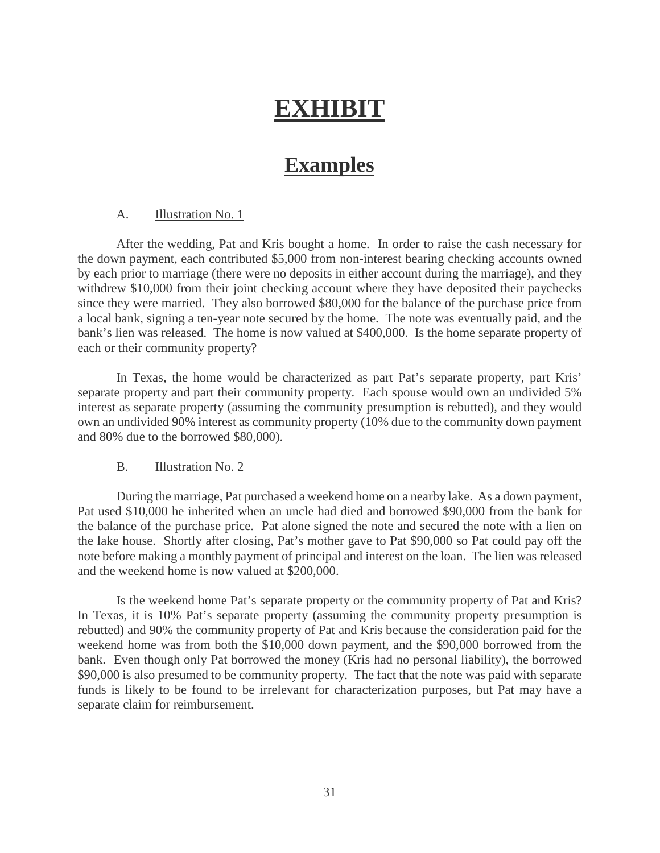# **EXHIBIT**

# **Examples**

#### <span id="page-34-0"></span>A. Illustration No. 1

After the wedding, Pat and Kris bought a home. In order to raise the cash necessary for the down payment, each contributed \$5,000 from non-interest bearing checking accounts owned by each prior to marriage (there were no deposits in either account during the marriage), and they withdrew \$10,000 from their joint checking account where they have deposited their paychecks since they were married. They also borrowed \$80,000 for the balance of the purchase price from a local bank, signing a ten-year note secured by the home. The note was eventually paid, and the bank's lien was released. The home is now valued at \$400,000. Is the home separate property of each or their community property?

In Texas, the home would be characterized as part Pat's separate property, part Kris' separate property and part their community property. Each spouse would own an undivided 5% interest as separate property (assuming the community presumption is rebutted), and they would own an undivided 90% interest as community property (10% due to the community down payment and 80% due to the borrowed \$80,000).

#### B. Illustration No. 2

During the marriage, Pat purchased a weekend home on a nearby lake. As a down payment, Pat used \$10,000 he inherited when an uncle had died and borrowed \$90,000 from the bank for the balance of the purchase price. Pat alone signed the note and secured the note with a lien on the lake house. Shortly after closing, Pat's mother gave to Pat \$90,000 so Pat could pay off the note before making a monthly payment of principal and interest on the loan. The lien was released and the weekend home is now valued at \$200,000.

Is the weekend home Pat's separate property or the community property of Pat and Kris? In Texas, it is 10% Pat's separate property (assuming the community property presumption is rebutted) and 90% the community property of Pat and Kris because the consideration paid for the weekend home was from both the \$10,000 down payment, and the \$90,000 borrowed from the bank. Even though only Pat borrowed the money (Kris had no personal liability), the borrowed \$90,000 is also presumed to be community property. The fact that the note was paid with separate funds is likely to be found to be irrelevant for characterization purposes, but Pat may have a separate claim for reimbursement.